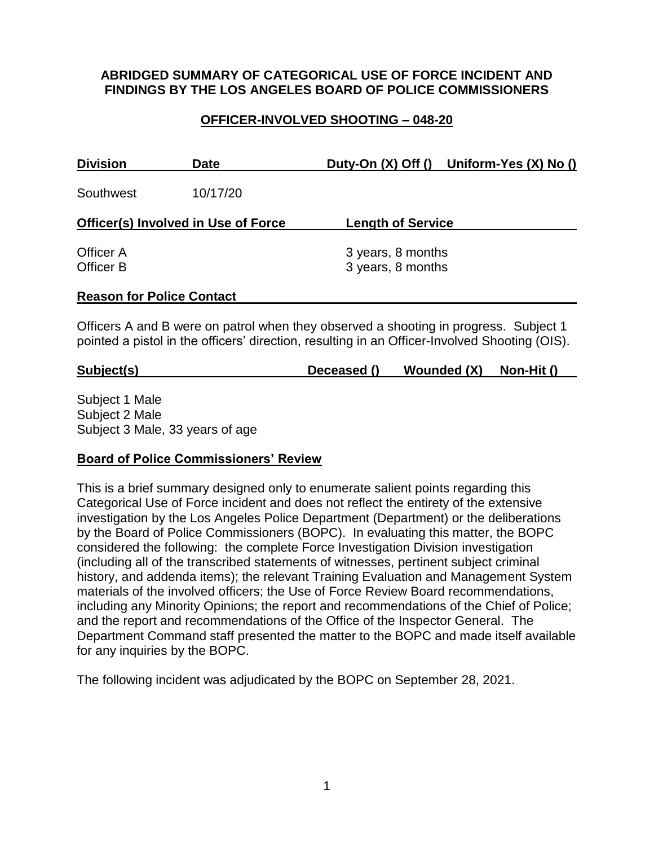#### **ABRIDGED SUMMARY OF CATEGORICAL USE OF FORCE INCIDENT AND FINDINGS BY THE LOS ANGELES BOARD OF POLICE COMMISSIONERS**

### **OFFICER-INVOLVED SHOOTING – 048-20**

| <b>Division</b>                  | <b>Date</b>                                |                                        | Duty-On (X) Off () Uniform-Yes (X) No () |
|----------------------------------|--------------------------------------------|----------------------------------------|------------------------------------------|
| Southwest                        | 10/17/20                                   |                                        |                                          |
|                                  | <b>Officer(s) Involved in Use of Force</b> | <b>Length of Service</b>               |                                          |
| Officer A<br>Officer B           |                                            | 3 years, 8 months<br>3 years, 8 months |                                          |
| <b>Reason for Police Contact</b> |                                            |                                        |                                          |

Officers A and B were on patrol when they observed a shooting in progress. Subject 1 pointed a pistol in the officers' direction, resulting in an Officer-Involved Shooting (OIS).

|  | Subject(s) | Deceased () | Wounded (X) | Non-Hit () |
|--|------------|-------------|-------------|------------|
|--|------------|-------------|-------------|------------|

Subject 1 Male Subject 2 Male Subject 3 Male, 33 years of age

#### **Board of Police Commissioners' Review**

This is a brief summary designed only to enumerate salient points regarding this Categorical Use of Force incident and does not reflect the entirety of the extensive investigation by the Los Angeles Police Department (Department) or the deliberations by the Board of Police Commissioners (BOPC). In evaluating this matter, the BOPC considered the following: the complete Force Investigation Division investigation (including all of the transcribed statements of witnesses, pertinent subject criminal history, and addenda items); the relevant Training Evaluation and Management System materials of the involved officers; the Use of Force Review Board recommendations, including any Minority Opinions; the report and recommendations of the Chief of Police; and the report and recommendations of the Office of the Inspector General. The Department Command staff presented the matter to the BOPC and made itself available for any inquiries by the BOPC.

The following incident was adjudicated by the BOPC on September 28, 2021.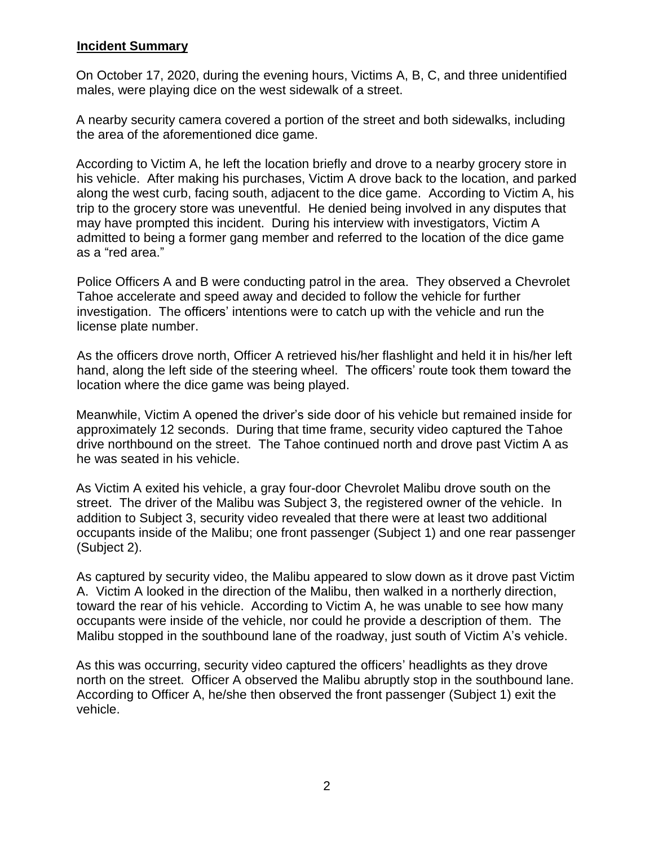#### **Incident Summary**

On October 17, 2020, during the evening hours, Victims A, B, C, and three unidentified males, were playing dice on the west sidewalk of a street.

A nearby security camera covered a portion of the street and both sidewalks, including the area of the aforementioned dice game.

According to Victim A, he left the location briefly and drove to a nearby grocery store in his vehicle. After making his purchases, Victim A drove back to the location, and parked along the west curb, facing south, adjacent to the dice game. According to Victim A, his trip to the grocery store was uneventful. He denied being involved in any disputes that may have prompted this incident. During his interview with investigators, Victim A admitted to being a former gang member and referred to the location of the dice game as a "red area."

Police Officers A and B were conducting patrol in the area. They observed a Chevrolet Tahoe accelerate and speed away and decided to follow the vehicle for further investigation. The officers' intentions were to catch up with the vehicle and run the license plate number.

As the officers drove north, Officer A retrieved his/her flashlight and held it in his/her left hand, along the left side of the steering wheel. The officers' route took them toward the location where the dice game was being played.

Meanwhile, Victim A opened the driver's side door of his vehicle but remained inside for approximately 12 seconds. During that time frame, security video captured the Tahoe drive northbound on the street. The Tahoe continued north and drove past Victim A as he was seated in his vehicle.

As Victim A exited his vehicle, a gray four-door Chevrolet Malibu drove south on the street. The driver of the Malibu was Subject 3, the registered owner of the vehicle. In addition to Subject 3, security video revealed that there were at least two additional occupants inside of the Malibu; one front passenger (Subject 1) and one rear passenger (Subject 2).

As captured by security video, the Malibu appeared to slow down as it drove past Victim A. Victim A looked in the direction of the Malibu, then walked in a northerly direction, toward the rear of his vehicle. According to Victim A, he was unable to see how many occupants were inside of the vehicle, nor could he provide a description of them. The Malibu stopped in the southbound lane of the roadway, just south of Victim A's vehicle.

As this was occurring, security video captured the officers' headlights as they drove north on the street. Officer A observed the Malibu abruptly stop in the southbound lane. According to Officer A, he/she then observed the front passenger (Subject 1) exit the vehicle.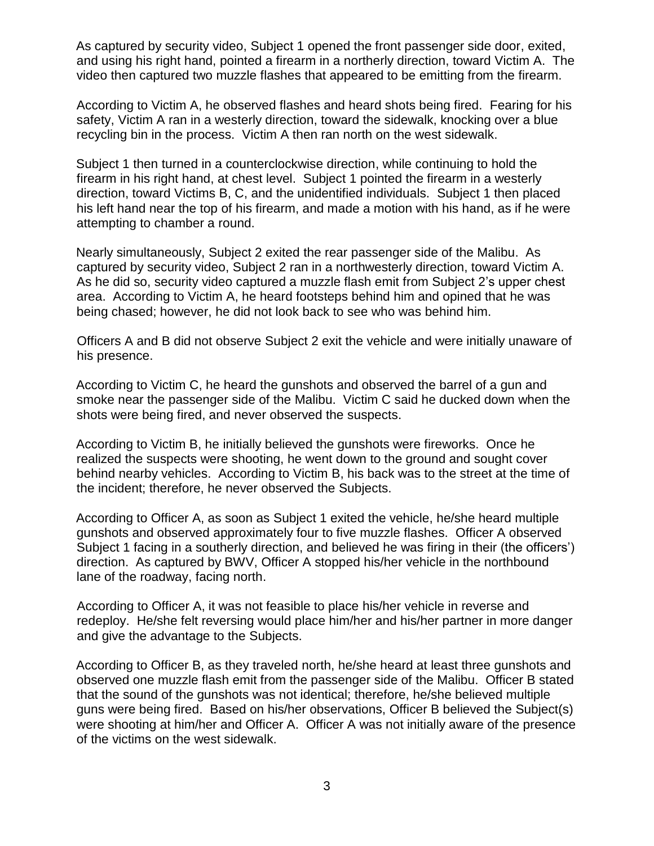As captured by security video, Subject 1 opened the front passenger side door, exited, and using his right hand, pointed a firearm in a northerly direction, toward Victim A. The video then captured two muzzle flashes that appeared to be emitting from the firearm.

According to Victim A, he observed flashes and heard shots being fired. Fearing for his safety, Victim A ran in a westerly direction, toward the sidewalk, knocking over a blue recycling bin in the process. Victim A then ran north on the west sidewalk.

Subject 1 then turned in a counterclockwise direction, while continuing to hold the firearm in his right hand, at chest level. Subject 1 pointed the firearm in a westerly direction, toward Victims B, C, and the unidentified individuals. Subject 1 then placed his left hand near the top of his firearm, and made a motion with his hand, as if he were attempting to chamber a round.

Nearly simultaneously, Subject 2 exited the rear passenger side of the Malibu. As captured by security video, Subject 2 ran in a northwesterly direction, toward Victim A. As he did so, security video captured a muzzle flash emit from Subject 2's upper chest area. According to Victim A, he heard footsteps behind him and opined that he was being chased; however, he did not look back to see who was behind him.

Officers A and B did not observe Subject 2 exit the vehicle and were initially unaware of his presence.

According to Victim C, he heard the gunshots and observed the barrel of a gun and smoke near the passenger side of the Malibu. Victim C said he ducked down when the shots were being fired, and never observed the suspects.

According to Victim B, he initially believed the gunshots were fireworks. Once he realized the suspects were shooting, he went down to the ground and sought cover behind nearby vehicles. According to Victim B, his back was to the street at the time of the incident; therefore, he never observed the Subjects.

According to Officer A, as soon as Subject 1 exited the vehicle, he/she heard multiple gunshots and observed approximately four to five muzzle flashes. Officer A observed Subject 1 facing in a southerly direction, and believed he was firing in their (the officers') direction. As captured by BWV, Officer A stopped his/her vehicle in the northbound lane of the roadway, facing north.

According to Officer A, it was not feasible to place his/her vehicle in reverse and redeploy. He/she felt reversing would place him/her and his/her partner in more danger and give the advantage to the Subjects.

According to Officer B, as they traveled north, he/she heard at least three gunshots and observed one muzzle flash emit from the passenger side of the Malibu. Officer B stated that the sound of the gunshots was not identical; therefore, he/she believed multiple guns were being fired. Based on his/her observations, Officer B believed the Subject(s) were shooting at him/her and Officer A. Officer A was not initially aware of the presence of the victims on the west sidewalk.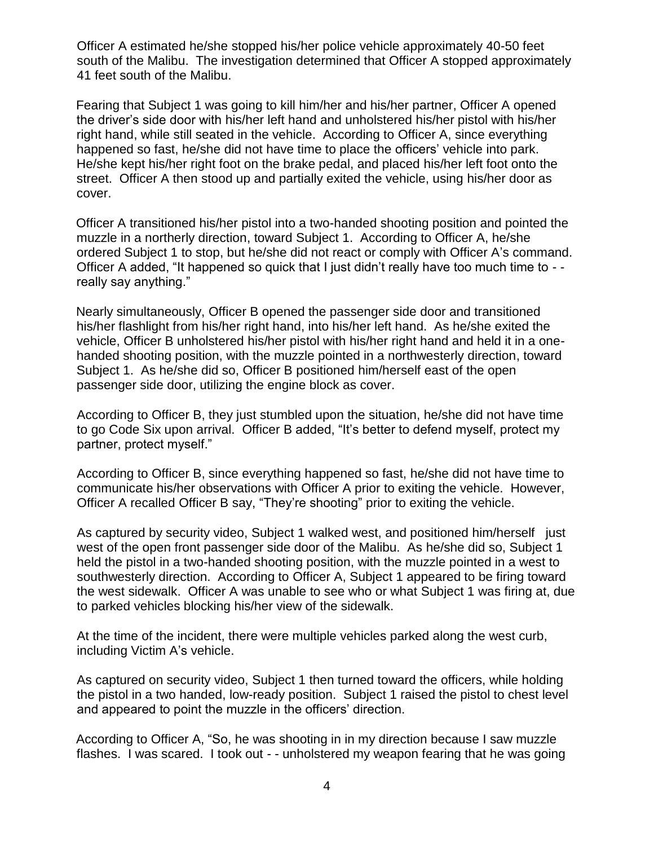Officer A estimated he/she stopped his/her police vehicle approximately 40-50 feet south of the Malibu. The investigation determined that Officer A stopped approximately 41 feet south of the Malibu.

Fearing that Subject 1 was going to kill him/her and his/her partner, Officer A opened the driver's side door with his/her left hand and unholstered his/her pistol with his/her right hand, while still seated in the vehicle. According to Officer A, since everything happened so fast, he/she did not have time to place the officers' vehicle into park. He/she kept his/her right foot on the brake pedal, and placed his/her left foot onto the street. Officer A then stood up and partially exited the vehicle, using his/her door as cover.

Officer A transitioned his/her pistol into a two-handed shooting position and pointed the muzzle in a northerly direction, toward Subject 1. According to Officer A, he/she ordered Subject 1 to stop, but he/she did not react or comply with Officer A's command. Officer A added, "It happened so quick that I just didn't really have too much time to - really say anything."

Nearly simultaneously, Officer B opened the passenger side door and transitioned his/her flashlight from his/her right hand, into his/her left hand. As he/she exited the vehicle, Officer B unholstered his/her pistol with his/her right hand and held it in a onehanded shooting position, with the muzzle pointed in a northwesterly direction, toward Subject 1. As he/she did so, Officer B positioned him/herself east of the open passenger side door, utilizing the engine block as cover.

According to Officer B, they just stumbled upon the situation, he/she did not have time to go Code Six upon arrival. Officer B added, "It's better to defend myself, protect my partner, protect myself."

According to Officer B, since everything happened so fast, he/she did not have time to communicate his/her observations with Officer A prior to exiting the vehicle. However, Officer A recalled Officer B say, "They're shooting" prior to exiting the vehicle.

As captured by security video, Subject 1 walked west, and positioned him/herself just west of the open front passenger side door of the Malibu. As he/she did so, Subject 1 held the pistol in a two-handed shooting position, with the muzzle pointed in a west to southwesterly direction. According to Officer A, Subject 1 appeared to be firing toward the west sidewalk. Officer A was unable to see who or what Subject 1 was firing at, due to parked vehicles blocking his/her view of the sidewalk.

At the time of the incident, there were multiple vehicles parked along the west curb, including Victim A's vehicle.

As captured on security video, Subject 1 then turned toward the officers, while holding the pistol in a two handed, low-ready position. Subject 1 raised the pistol to chest level and appeared to point the muzzle in the officers' direction.

According to Officer A, "So, he was shooting in in my direction because I saw muzzle flashes. I was scared. I took out - - unholstered my weapon fearing that he was going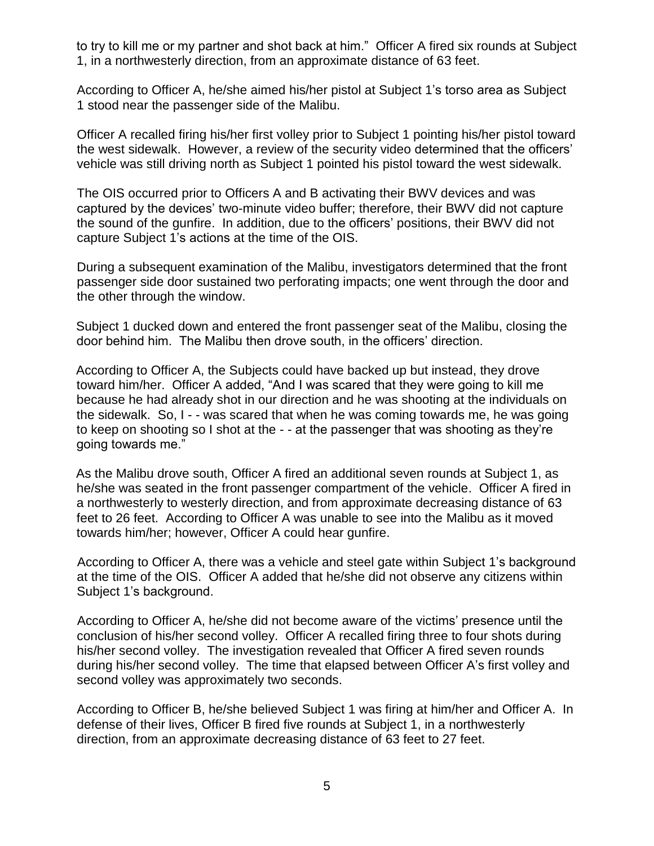to try to kill me or my partner and shot back at him." Officer A fired six rounds at Subject 1, in a northwesterly direction, from an approximate distance of 63 feet.

According to Officer A, he/she aimed his/her pistol at Subject 1's torso area as Subject 1 stood near the passenger side of the Malibu.

Officer A recalled firing his/her first volley prior to Subject 1 pointing his/her pistol toward the west sidewalk. However, a review of the security video determined that the officers' vehicle was still driving north as Subject 1 pointed his pistol toward the west sidewalk.

The OIS occurred prior to Officers A and B activating their BWV devices and was captured by the devices' two-minute video buffer; therefore, their BWV did not capture the sound of the gunfire. In addition, due to the officers' positions, their BWV did not capture Subject 1's actions at the time of the OIS.

During a subsequent examination of the Malibu, investigators determined that the front passenger side door sustained two perforating impacts; one went through the door and the other through the window.

Subject 1 ducked down and entered the front passenger seat of the Malibu, closing the door behind him. The Malibu then drove south, in the officers' direction.

According to Officer A, the Subjects could have backed up but instead, they drove toward him/her. Officer A added, "And I was scared that they were going to kill me because he had already shot in our direction and he was shooting at the individuals on the sidewalk. So, I - - was scared that when he was coming towards me, he was going to keep on shooting so I shot at the - - at the passenger that was shooting as they're going towards me."

As the Malibu drove south, Officer A fired an additional seven rounds at Subject 1, as he/she was seated in the front passenger compartment of the vehicle. Officer A fired in a northwesterly to westerly direction, and from approximate decreasing distance of 63 feet to 26 feet. According to Officer A was unable to see into the Malibu as it moved towards him/her; however, Officer A could hear gunfire.

According to Officer A, there was a vehicle and steel gate within Subject 1's background at the time of the OIS. Officer A added that he/she did not observe any citizens within Subject 1's background.

According to Officer A, he/she did not become aware of the victims' presence until the conclusion of his/her second volley. Officer A recalled firing three to four shots during his/her second volley. The investigation revealed that Officer A fired seven rounds during his/her second volley. The time that elapsed between Officer A's first volley and second volley was approximately two seconds.

According to Officer B, he/she believed Subject 1 was firing at him/her and Officer A. In defense of their lives, Officer B fired five rounds at Subject 1, in a northwesterly direction, from an approximate decreasing distance of 63 feet to 27 feet.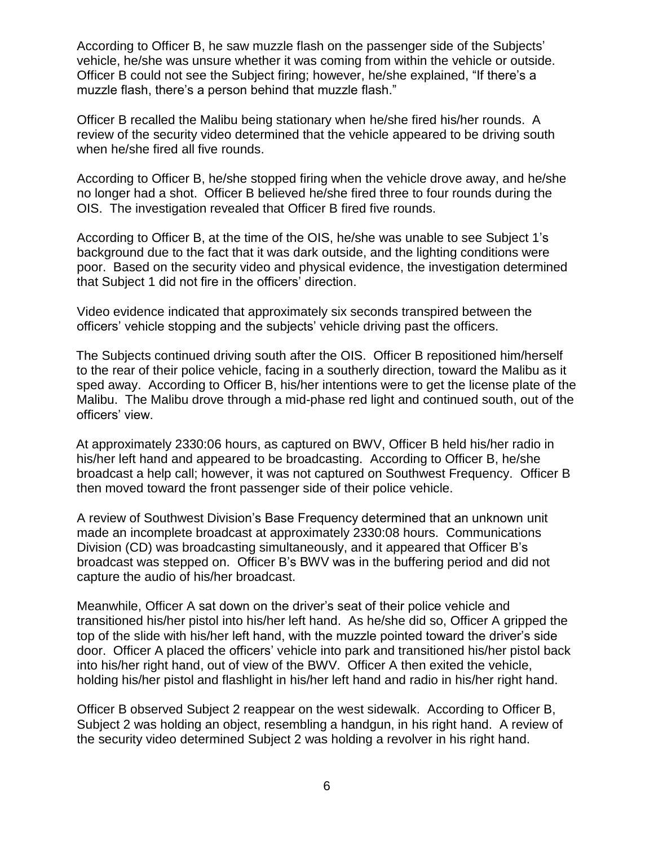According to Officer B, he saw muzzle flash on the passenger side of the Subjects' vehicle, he/she was unsure whether it was coming from within the vehicle or outside. Officer B could not see the Subject firing; however, he/she explained, "If there's a muzzle flash, there's a person behind that muzzle flash."

Officer B recalled the Malibu being stationary when he/she fired his/her rounds. A review of the security video determined that the vehicle appeared to be driving south when he/she fired all five rounds.

According to Officer B, he/she stopped firing when the vehicle drove away, and he/she no longer had a shot. Officer B believed he/she fired three to four rounds during the OIS. The investigation revealed that Officer B fired five rounds.

According to Officer B, at the time of the OIS, he/she was unable to see Subject 1's background due to the fact that it was dark outside, and the lighting conditions were poor. Based on the security video and physical evidence, the investigation determined that Subject 1 did not fire in the officers' direction.

Video evidence indicated that approximately six seconds transpired between the officers' vehicle stopping and the subjects' vehicle driving past the officers.

The Subjects continued driving south after the OIS. Officer B repositioned him/herself to the rear of their police vehicle, facing in a southerly direction, toward the Malibu as it sped away. According to Officer B, his/her intentions were to get the license plate of the Malibu. The Malibu drove through a mid-phase red light and continued south, out of the officers' view.

At approximately 2330:06 hours, as captured on BWV, Officer B held his/her radio in his/her left hand and appeared to be broadcasting. According to Officer B, he/she broadcast a help call; however, it was not captured on Southwest Frequency. Officer B then moved toward the front passenger side of their police vehicle.

A review of Southwest Division's Base Frequency determined that an unknown unit made an incomplete broadcast at approximately 2330:08 hours. Communications Division (CD) was broadcasting simultaneously, and it appeared that Officer B's broadcast was stepped on. Officer B's BWV was in the buffering period and did not capture the audio of his/her broadcast.

Meanwhile, Officer A sat down on the driver's seat of their police vehicle and transitioned his/her pistol into his/her left hand. As he/she did so, Officer A gripped the top of the slide with his/her left hand, with the muzzle pointed toward the driver's side door. Officer A placed the officers' vehicle into park and transitioned his/her pistol back into his/her right hand, out of view of the BWV. Officer A then exited the vehicle, holding his/her pistol and flashlight in his/her left hand and radio in his/her right hand.

Officer B observed Subject 2 reappear on the west sidewalk. According to Officer B, Subject 2 was holding an object, resembling a handgun, in his right hand. A review of the security video determined Subject 2 was holding a revolver in his right hand.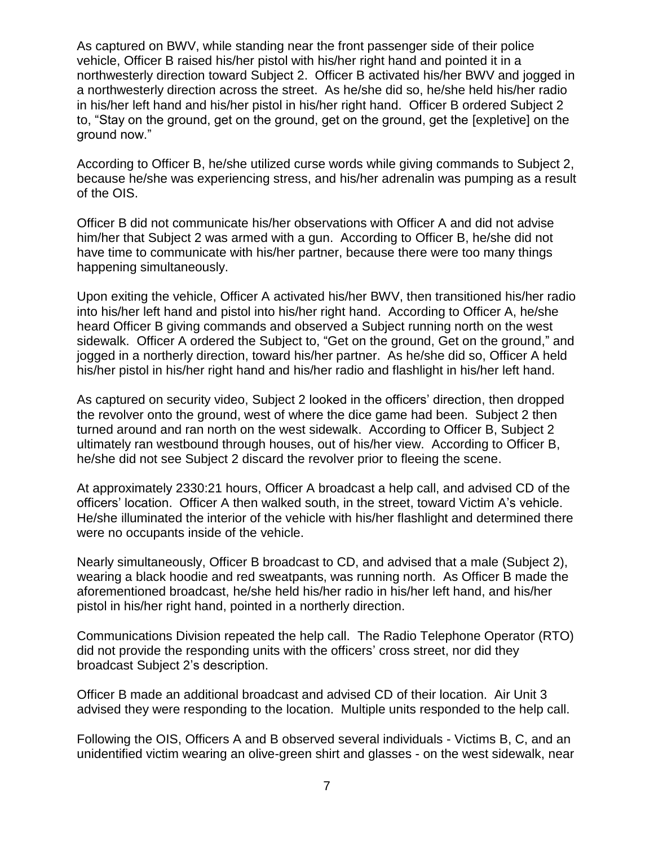As captured on BWV, while standing near the front passenger side of their police vehicle, Officer B raised his/her pistol with his/her right hand and pointed it in a northwesterly direction toward Subject 2. Officer B activated his/her BWV and jogged in a northwesterly direction across the street. As he/she did so, he/she held his/her radio in his/her left hand and his/her pistol in his/her right hand. Officer B ordered Subject 2 to, "Stay on the ground, get on the ground, get on the ground, get the [expletive] on the ground now."

According to Officer B, he/she utilized curse words while giving commands to Subject 2, because he/she was experiencing stress, and his/her adrenalin was pumping as a result of the OIS.

Officer B did not communicate his/her observations with Officer A and did not advise him/her that Subject 2 was armed with a gun. According to Officer B, he/she did not have time to communicate with his/her partner, because there were too many things happening simultaneously.

Upon exiting the vehicle, Officer A activated his/her BWV, then transitioned his/her radio into his/her left hand and pistol into his/her right hand. According to Officer A, he/she heard Officer B giving commands and observed a Subject running north on the west sidewalk. Officer A ordered the Subject to, "Get on the ground, Get on the ground," and jogged in a northerly direction, toward his/her partner. As he/she did so, Officer A held his/her pistol in his/her right hand and his/her radio and flashlight in his/her left hand.

As captured on security video, Subject 2 looked in the officers' direction, then dropped the revolver onto the ground, west of where the dice game had been. Subject 2 then turned around and ran north on the west sidewalk. According to Officer B, Subject 2 ultimately ran westbound through houses, out of his/her view. According to Officer B, he/she did not see Subject 2 discard the revolver prior to fleeing the scene.

At approximately 2330:21 hours, Officer A broadcast a help call, and advised CD of the officers' location. Officer A then walked south, in the street, toward Victim A's vehicle. He/she illuminated the interior of the vehicle with his/her flashlight and determined there were no occupants inside of the vehicle.

Nearly simultaneously, Officer B broadcast to CD, and advised that a male (Subject 2), wearing a black hoodie and red sweatpants, was running north. As Officer B made the aforementioned broadcast, he/she held his/her radio in his/her left hand, and his/her pistol in his/her right hand, pointed in a northerly direction.

Communications Division repeated the help call. The Radio Telephone Operator (RTO) did not provide the responding units with the officers' cross street, nor did they broadcast Subject 2's description.

Officer B made an additional broadcast and advised CD of their location. Air Unit 3 advised they were responding to the location. Multiple units responded to the help call.

Following the OIS, Officers A and B observed several individuals - Victims B, C, and an unidentified victim wearing an olive-green shirt and glasses - on the west sidewalk, near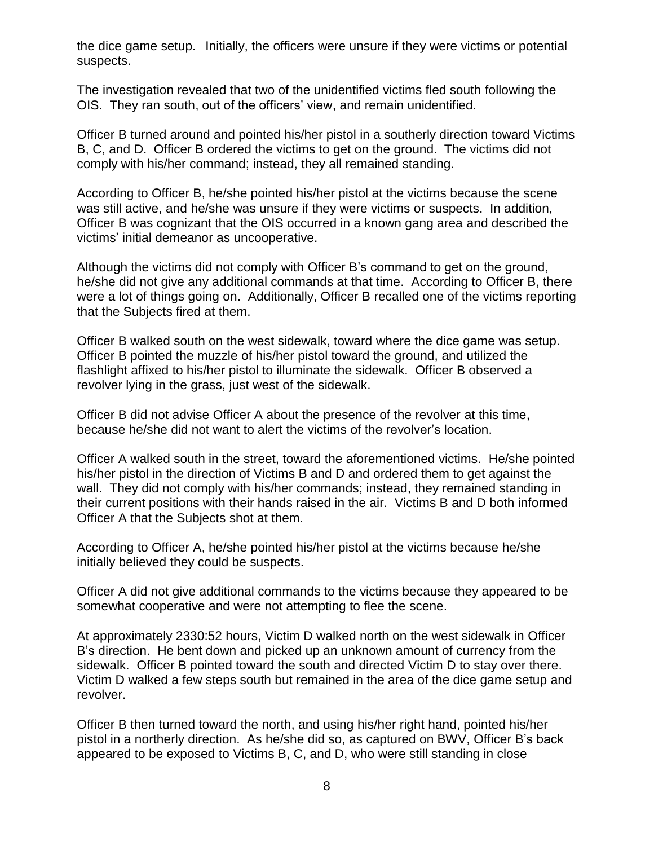the dice game setup. Initially, the officers were unsure if they were victims or potential suspects.

The investigation revealed that two of the unidentified victims fled south following the OIS. They ran south, out of the officers' view, and remain unidentified.

Officer B turned around and pointed his/her pistol in a southerly direction toward Victims B, C, and D. Officer B ordered the victims to get on the ground. The victims did not comply with his/her command; instead, they all remained standing.

According to Officer B, he/she pointed his/her pistol at the victims because the scene was still active, and he/she was unsure if they were victims or suspects. In addition, Officer B was cognizant that the OIS occurred in a known gang area and described the victims' initial demeanor as uncooperative.

Although the victims did not comply with Officer B's command to get on the ground, he/she did not give any additional commands at that time. According to Officer B, there were a lot of things going on. Additionally, Officer B recalled one of the victims reporting that the Subjects fired at them.

Officer B walked south on the west sidewalk, toward where the dice game was setup. Officer B pointed the muzzle of his/her pistol toward the ground, and utilized the flashlight affixed to his/her pistol to illuminate the sidewalk. Officer B observed a revolver lying in the grass, just west of the sidewalk.

Officer B did not advise Officer A about the presence of the revolver at this time, because he/she did not want to alert the victims of the revolver's location.

Officer A walked south in the street, toward the aforementioned victims. He/she pointed his/her pistol in the direction of Victims B and D and ordered them to get against the wall. They did not comply with his/her commands; instead, they remained standing in their current positions with their hands raised in the air. Victims B and D both informed Officer A that the Subjects shot at them.

According to Officer A, he/she pointed his/her pistol at the victims because he/she initially believed they could be suspects.

Officer A did not give additional commands to the victims because they appeared to be somewhat cooperative and were not attempting to flee the scene.

At approximately 2330:52 hours, Victim D walked north on the west sidewalk in Officer B's direction. He bent down and picked up an unknown amount of currency from the sidewalk. Officer B pointed toward the south and directed Victim D to stay over there. Victim D walked a few steps south but remained in the area of the dice game setup and revolver.

Officer B then turned toward the north, and using his/her right hand, pointed his/her pistol in a northerly direction. As he/she did so, as captured on BWV, Officer B's back appeared to be exposed to Victims B, C, and D, who were still standing in close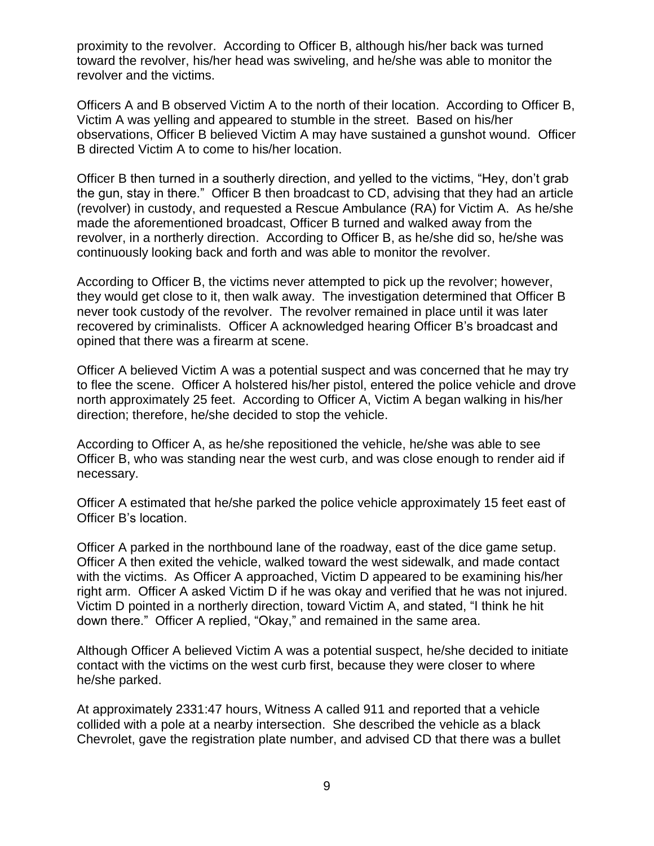proximity to the revolver. According to Officer B, although his/her back was turned toward the revolver, his/her head was swiveling, and he/she was able to monitor the revolver and the victims.

Officers A and B observed Victim A to the north of their location. According to Officer B, Victim A was yelling and appeared to stumble in the street. Based on his/her observations, Officer B believed Victim A may have sustained a gunshot wound. Officer B directed Victim A to come to his/her location.

Officer B then turned in a southerly direction, and yelled to the victims, "Hey, don't grab the gun, stay in there." Officer B then broadcast to CD, advising that they had an article (revolver) in custody, and requested a Rescue Ambulance (RA) for Victim A. As he/she made the aforementioned broadcast, Officer B turned and walked away from the revolver, in a northerly direction. According to Officer B, as he/she did so, he/she was continuously looking back and forth and was able to monitor the revolver.

According to Officer B, the victims never attempted to pick up the revolver; however, they would get close to it, then walk away. The investigation determined that Officer B never took custody of the revolver. The revolver remained in place until it was later recovered by criminalists. Officer A acknowledged hearing Officer B's broadcast and opined that there was a firearm at scene.

Officer A believed Victim A was a potential suspect and was concerned that he may try to flee the scene. Officer A holstered his/her pistol, entered the police vehicle and drove north approximately 25 feet. According to Officer A, Victim A began walking in his/her direction; therefore, he/she decided to stop the vehicle.

According to Officer A, as he/she repositioned the vehicle, he/she was able to see Officer B, who was standing near the west curb, and was close enough to render aid if necessary.

Officer A estimated that he/she parked the police vehicle approximately 15 feet east of Officer B's location.

Officer A parked in the northbound lane of the roadway, east of the dice game setup. Officer A then exited the vehicle, walked toward the west sidewalk, and made contact with the victims. As Officer A approached, Victim D appeared to be examining his/her right arm. Officer A asked Victim D if he was okay and verified that he was not injured. Victim D pointed in a northerly direction, toward Victim A, and stated, "I think he hit down there." Officer A replied, "Okay," and remained in the same area.

Although Officer A believed Victim A was a potential suspect, he/she decided to initiate contact with the victims on the west curb first, because they were closer to where he/she parked.

At approximately 2331:47 hours, Witness A called 911 and reported that a vehicle collided with a pole at a nearby intersection. She described the vehicle as a black Chevrolet, gave the registration plate number, and advised CD that there was a bullet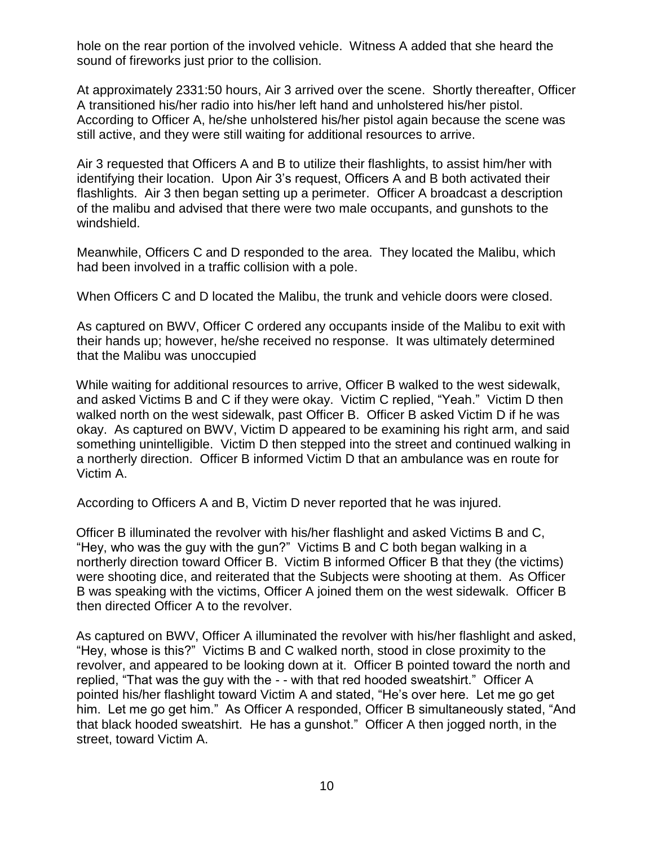hole on the rear portion of the involved vehicle. Witness A added that she heard the sound of fireworks just prior to the collision.

At approximately 2331:50 hours, Air 3 arrived over the scene. Shortly thereafter, Officer A transitioned his/her radio into his/her left hand and unholstered his/her pistol. According to Officer A, he/she unholstered his/her pistol again because the scene was still active, and they were still waiting for additional resources to arrive.

Air 3 requested that Officers A and B to utilize their flashlights, to assist him/her with identifying their location. Upon Air 3's request, Officers A and B both activated their flashlights. Air 3 then began setting up a perimeter. Officer A broadcast a description of the malibu and advised that there were two male occupants, and gunshots to the windshield.

Meanwhile, Officers C and D responded to the area. They located the Malibu, which had been involved in a traffic collision with a pole.

When Officers C and D located the Malibu, the trunk and vehicle doors were closed.

As captured on BWV, Officer C ordered any occupants inside of the Malibu to exit with their hands up; however, he/she received no response. It was ultimately determined that the Malibu was unoccupied

While waiting for additional resources to arrive, Officer B walked to the west sidewalk, and asked Victims B and C if they were okay. Victim C replied, "Yeah." Victim D then walked north on the west sidewalk, past Officer B. Officer B asked Victim D if he was okay. As captured on BWV, Victim D appeared to be examining his right arm, and said something unintelligible. Victim D then stepped into the street and continued walking in a northerly direction. Officer B informed Victim D that an ambulance was en route for Victim A.

According to Officers A and B, Victim D never reported that he was injured.

Officer B illuminated the revolver with his/her flashlight and asked Victims B and C, "Hey, who was the guy with the gun?" Victims B and C both began walking in a northerly direction toward Officer B. Victim B informed Officer B that they (the victims) were shooting dice, and reiterated that the Subjects were shooting at them. As Officer B was speaking with the victims, Officer A joined them on the west sidewalk. Officer B then directed Officer A to the revolver.

As captured on BWV, Officer A illuminated the revolver with his/her flashlight and asked, "Hey, whose is this?" Victims B and C walked north, stood in close proximity to the revolver, and appeared to be looking down at it. Officer B pointed toward the north and replied, "That was the guy with the - - with that red hooded sweatshirt." Officer A pointed his/her flashlight toward Victim A and stated, "He's over here. Let me go get him. Let me go get him." As Officer A responded, Officer B simultaneously stated, "And that black hooded sweatshirt. He has a gunshot." Officer A then jogged north, in the street, toward Victim A.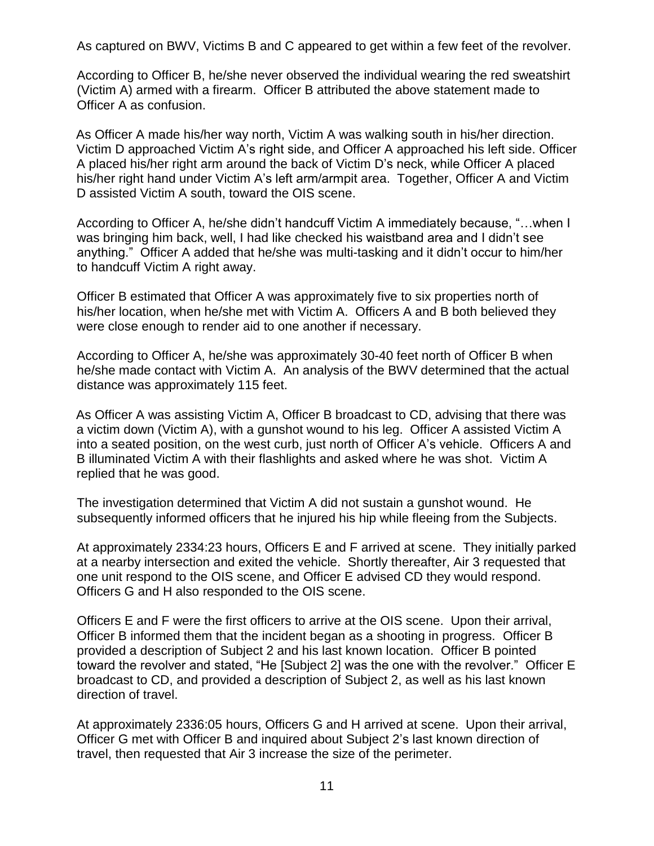As captured on BWV, Victims B and C appeared to get within a few feet of the revolver.

According to Officer B, he/she never observed the individual wearing the red sweatshirt (Victim A) armed with a firearm. Officer B attributed the above statement made to Officer A as confusion.

As Officer A made his/her way north, Victim A was walking south in his/her direction. Victim D approached Victim A's right side, and Officer A approached his left side. Officer A placed his/her right arm around the back of Victim D's neck, while Officer A placed his/her right hand under Victim A's left arm/armpit area. Together, Officer A and Victim D assisted Victim A south, toward the OIS scene.

According to Officer A, he/she didn't handcuff Victim A immediately because, "…when I was bringing him back, well, I had like checked his waistband area and I didn't see anything." Officer A added that he/she was multi-tasking and it didn't occur to him/her to handcuff Victim A right away.

Officer B estimated that Officer A was approximately five to six properties north of his/her location, when he/she met with Victim A. Officers A and B both believed they were close enough to render aid to one another if necessary.

According to Officer A, he/she was approximately 30-40 feet north of Officer B when he/she made contact with Victim A. An analysis of the BWV determined that the actual distance was approximately 115 feet.

As Officer A was assisting Victim A, Officer B broadcast to CD, advising that there was a victim down (Victim A), with a gunshot wound to his leg. Officer A assisted Victim A into a seated position, on the west curb, just north of Officer A's vehicle. Officers A and B illuminated Victim A with their flashlights and asked where he was shot. Victim A replied that he was good.

The investigation determined that Victim A did not sustain a gunshot wound. He subsequently informed officers that he injured his hip while fleeing from the Subjects.

At approximately 2334:23 hours, Officers E and F arrived at scene. They initially parked at a nearby intersection and exited the vehicle. Shortly thereafter, Air 3 requested that one unit respond to the OIS scene, and Officer E advised CD they would respond. Officers G and H also responded to the OIS scene.

Officers E and F were the first officers to arrive at the OIS scene. Upon their arrival, Officer B informed them that the incident began as a shooting in progress. Officer B provided a description of Subject 2 and his last known location. Officer B pointed toward the revolver and stated, "He [Subject 2] was the one with the revolver." Officer E broadcast to CD, and provided a description of Subject 2, as well as his last known direction of travel.

At approximately 2336:05 hours, Officers G and H arrived at scene. Upon their arrival, Officer G met with Officer B and inquired about Subject 2's last known direction of travel, then requested that Air 3 increase the size of the perimeter.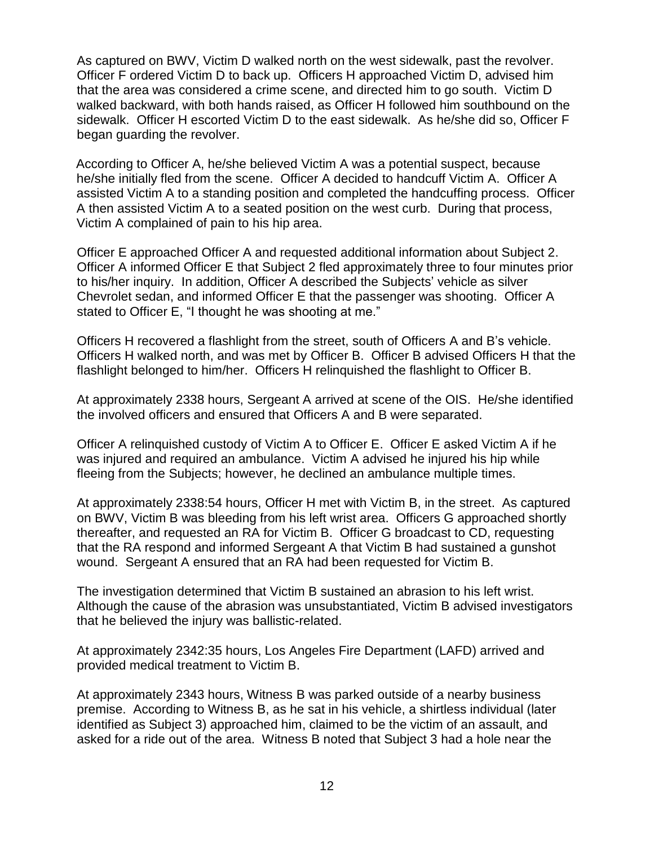As captured on BWV, Victim D walked north on the west sidewalk, past the revolver. Officer F ordered Victim D to back up. Officers H approached Victim D, advised him that the area was considered a crime scene, and directed him to go south. Victim D walked backward, with both hands raised, as Officer H followed him southbound on the sidewalk. Officer H escorted Victim D to the east sidewalk. As he/she did so, Officer F began guarding the revolver.

According to Officer A, he/she believed Victim A was a potential suspect, because he/she initially fled from the scene. Officer A decided to handcuff Victim A. Officer A assisted Victim A to a standing position and completed the handcuffing process. Officer A then assisted Victim A to a seated position on the west curb. During that process, Victim A complained of pain to his hip area.

Officer E approached Officer A and requested additional information about Subject 2. Officer A informed Officer E that Subject 2 fled approximately three to four minutes prior to his/her inquiry. In addition, Officer A described the Subjects' vehicle as silver Chevrolet sedan, and informed Officer E that the passenger was shooting. Officer A stated to Officer E, "I thought he was shooting at me."

Officers H recovered a flashlight from the street, south of Officers A and B's vehicle. Officers H walked north, and was met by Officer B. Officer B advised Officers H that the flashlight belonged to him/her. Officers H relinquished the flashlight to Officer B.

At approximately 2338 hours, Sergeant A arrived at scene of the OIS. He/she identified the involved officers and ensured that Officers A and B were separated.

Officer A relinquished custody of Victim A to Officer E. Officer E asked Victim A if he was injured and required an ambulance. Victim A advised he injured his hip while fleeing from the Subjects; however, he declined an ambulance multiple times.

At approximately 2338:54 hours, Officer H met with Victim B, in the street. As captured on BWV, Victim B was bleeding from his left wrist area. Officers G approached shortly thereafter, and requested an RA for Victim B. Officer G broadcast to CD, requesting that the RA respond and informed Sergeant A that Victim B had sustained a gunshot wound. Sergeant A ensured that an RA had been requested for Victim B.

The investigation determined that Victim B sustained an abrasion to his left wrist. Although the cause of the abrasion was unsubstantiated, Victim B advised investigators that he believed the injury was ballistic-related.

At approximately 2342:35 hours, Los Angeles Fire Department (LAFD) arrived and provided medical treatment to Victim B.

At approximately 2343 hours, Witness B was parked outside of a nearby business premise. According to Witness B, as he sat in his vehicle, a shirtless individual (later identified as Subject 3) approached him, claimed to be the victim of an assault, and asked for a ride out of the area. Witness B noted that Subject 3 had a hole near the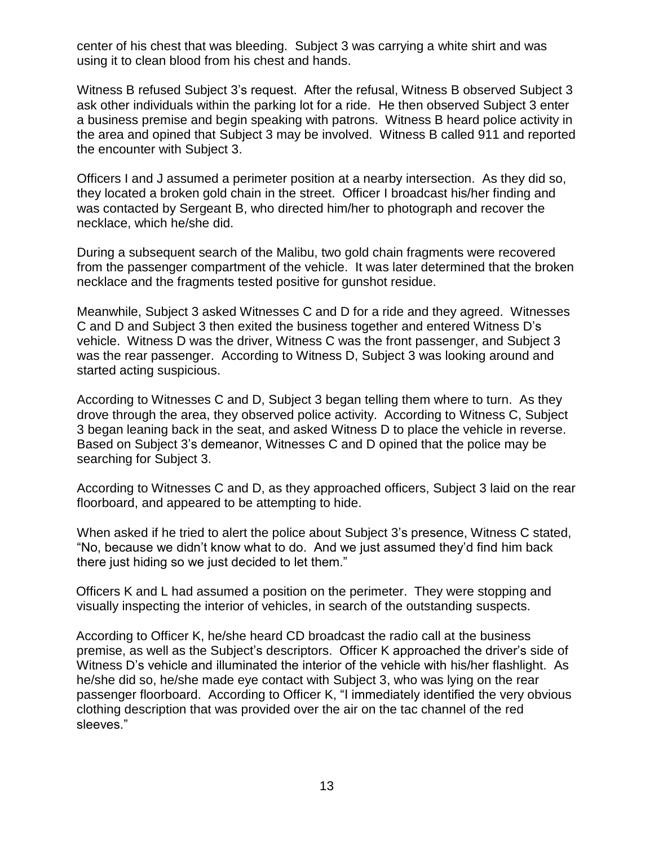center of his chest that was bleeding. Subject 3 was carrying a white shirt and was using it to clean blood from his chest and hands.

Witness B refused Subject 3's request. After the refusal, Witness B observed Subject 3 ask other individuals within the parking lot for a ride. He then observed Subject 3 enter a business premise and begin speaking with patrons. Witness B heard police activity in the area and opined that Subject 3 may be involved. Witness B called 911 and reported the encounter with Subject 3.

Officers I and J assumed a perimeter position at a nearby intersection. As they did so, they located a broken gold chain in the street. Officer I broadcast his/her finding and was contacted by Sergeant B, who directed him/her to photograph and recover the necklace, which he/she did.

During a subsequent search of the Malibu, two gold chain fragments were recovered from the passenger compartment of the vehicle. It was later determined that the broken necklace and the fragments tested positive for gunshot residue.

Meanwhile, Subject 3 asked Witnesses C and D for a ride and they agreed. Witnesses C and D and Subject 3 then exited the business together and entered Witness D's vehicle. Witness D was the driver, Witness C was the front passenger, and Subject 3 was the rear passenger. According to Witness D, Subject 3 was looking around and started acting suspicious.

According to Witnesses C and D, Subject 3 began telling them where to turn. As they drove through the area, they observed police activity. According to Witness C, Subject 3 began leaning back in the seat, and asked Witness D to place the vehicle in reverse. Based on Subject 3's demeanor, Witnesses C and D opined that the police may be searching for Subject 3.

According to Witnesses C and D, as they approached officers, Subject 3 laid on the rear floorboard, and appeared to be attempting to hide.

When asked if he tried to alert the police about Subject 3's presence, Witness C stated, "No, because we didn't know what to do. And we just assumed they'd find him back there just hiding so we just decided to let them."

Officers K and L had assumed a position on the perimeter. They were stopping and visually inspecting the interior of vehicles, in search of the outstanding suspects.

According to Officer K, he/she heard CD broadcast the radio call at the business premise, as well as the Subject's descriptors. Officer K approached the driver's side of Witness D's vehicle and illuminated the interior of the vehicle with his/her flashlight. As he/she did so, he/she made eye contact with Subject 3, who was lying on the rear passenger floorboard. According to Officer K, "I immediately identified the very obvious clothing description that was provided over the air on the tac channel of the red sleeves."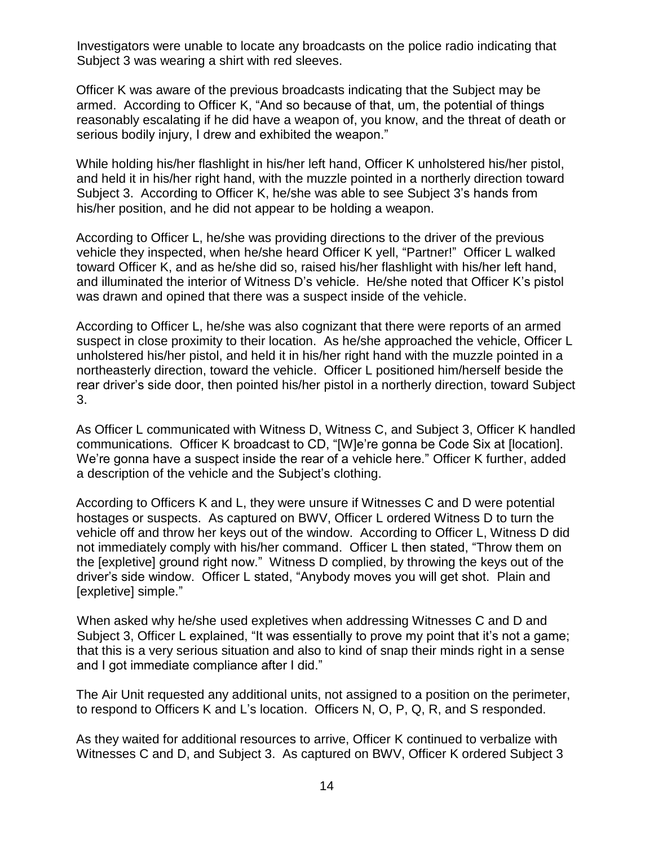Investigators were unable to locate any broadcasts on the police radio indicating that Subject 3 was wearing a shirt with red sleeves.

Officer K was aware of the previous broadcasts indicating that the Subject may be armed. According to Officer K, "And so because of that, um, the potential of things reasonably escalating if he did have a weapon of, you know, and the threat of death or serious bodily injury, I drew and exhibited the weapon."

While holding his/her flashlight in his/her left hand, Officer K unholstered his/her pistol, and held it in his/her right hand, with the muzzle pointed in a northerly direction toward Subject 3. According to Officer K, he/she was able to see Subject 3's hands from his/her position, and he did not appear to be holding a weapon.

According to Officer L, he/she was providing directions to the driver of the previous vehicle they inspected, when he/she heard Officer K yell, "Partner!" Officer L walked toward Officer K, and as he/she did so, raised his/her flashlight with his/her left hand, and illuminated the interior of Witness D's vehicle. He/she noted that Officer K's pistol was drawn and opined that there was a suspect inside of the vehicle.

According to Officer L, he/she was also cognizant that there were reports of an armed suspect in close proximity to their location. As he/she approached the vehicle, Officer L unholstered his/her pistol, and held it in his/her right hand with the muzzle pointed in a northeasterly direction, toward the vehicle. Officer L positioned him/herself beside the rear driver's side door, then pointed his/her pistol in a northerly direction, toward Subject 3.

As Officer L communicated with Witness D, Witness C, and Subject 3, Officer K handled communications. Officer K broadcast to CD, "[W]e're gonna be Code Six at [location]. We're gonna have a suspect inside the rear of a vehicle here." Officer K further, added a description of the vehicle and the Subject's clothing.

According to Officers K and L, they were unsure if Witnesses C and D were potential hostages or suspects. As captured on BWV, Officer L ordered Witness D to turn the vehicle off and throw her keys out of the window. According to Officer L, Witness D did not immediately comply with his/her command. Officer L then stated, "Throw them on the [expletive] ground right now." Witness D complied, by throwing the keys out of the driver's side window. Officer L stated, "Anybody moves you will get shot. Plain and [expletive] simple."

When asked why he/she used expletives when addressing Witnesses C and D and Subject 3, Officer L explained, "It was essentially to prove my point that it's not a game; that this is a very serious situation and also to kind of snap their minds right in a sense and I got immediate compliance after I did."

The Air Unit requested any additional units, not assigned to a position on the perimeter, to respond to Officers K and L's location. Officers N, O, P, Q, R, and S responded.

As they waited for additional resources to arrive, Officer K continued to verbalize with Witnesses C and D, and Subject 3. As captured on BWV, Officer K ordered Subject 3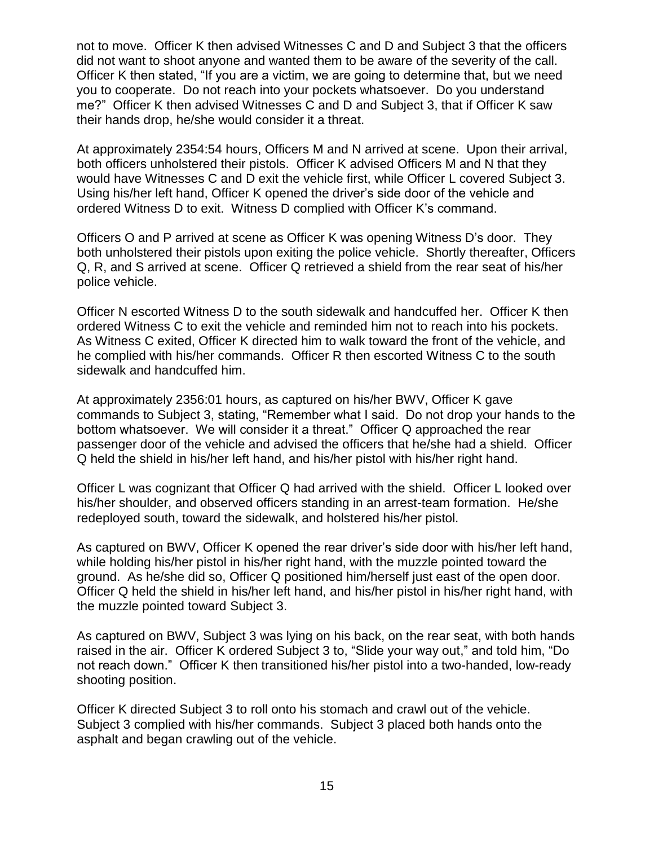not to move. Officer K then advised Witnesses C and D and Subject 3 that the officers did not want to shoot anyone and wanted them to be aware of the severity of the call. Officer K then stated, "If you are a victim, we are going to determine that, but we need you to cooperate. Do not reach into your pockets whatsoever. Do you understand me?" Officer K then advised Witnesses C and D and Subject 3, that if Officer K saw their hands drop, he/she would consider it a threat.

At approximately 2354:54 hours, Officers M and N arrived at scene. Upon their arrival, both officers unholstered their pistols. Officer K advised Officers M and N that they would have Witnesses C and D exit the vehicle first, while Officer L covered Subject 3. Using his/her left hand, Officer K opened the driver's side door of the vehicle and ordered Witness D to exit. Witness D complied with Officer K's command.

Officers O and P arrived at scene as Officer K was opening Witness D's door. They both unholstered their pistols upon exiting the police vehicle. Shortly thereafter, Officers Q, R, and S arrived at scene. Officer Q retrieved a shield from the rear seat of his/her police vehicle.

Officer N escorted Witness D to the south sidewalk and handcuffed her. Officer K then ordered Witness C to exit the vehicle and reminded him not to reach into his pockets. As Witness C exited, Officer K directed him to walk toward the front of the vehicle, and he complied with his/her commands. Officer R then escorted Witness C to the south sidewalk and handcuffed him.

At approximately 2356:01 hours, as captured on his/her BWV, Officer K gave commands to Subject 3, stating, "Remember what I said. Do not drop your hands to the bottom whatsoever. We will consider it a threat." Officer Q approached the rear passenger door of the vehicle and advised the officers that he/she had a shield. Officer Q held the shield in his/her left hand, and his/her pistol with his/her right hand.

Officer L was cognizant that Officer Q had arrived with the shield. Officer L looked over his/her shoulder, and observed officers standing in an arrest-team formation. He/she redeployed south, toward the sidewalk, and holstered his/her pistol.

As captured on BWV, Officer K opened the rear driver's side door with his/her left hand, while holding his/her pistol in his/her right hand, with the muzzle pointed toward the ground. As he/she did so, Officer Q positioned him/herself just east of the open door. Officer Q held the shield in his/her left hand, and his/her pistol in his/her right hand, with the muzzle pointed toward Subject 3.

As captured on BWV, Subject 3 was lying on his back, on the rear seat, with both hands raised in the air. Officer K ordered Subject 3 to, "Slide your way out," and told him, "Do not reach down." Officer K then transitioned his/her pistol into a two-handed, low-ready shooting position.

Officer K directed Subject 3 to roll onto his stomach and crawl out of the vehicle. Subject 3 complied with his/her commands. Subject 3 placed both hands onto the asphalt and began crawling out of the vehicle.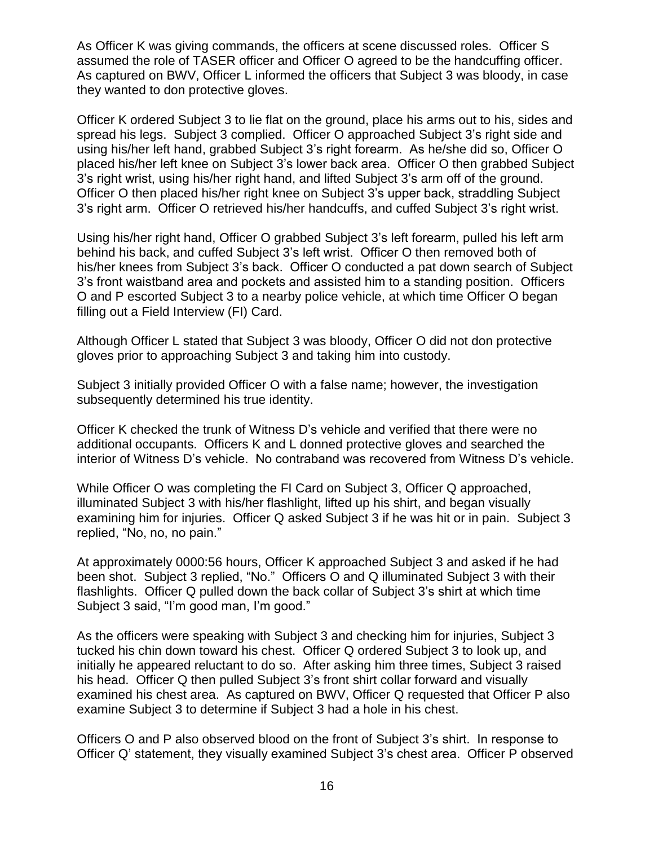As Officer K was giving commands, the officers at scene discussed roles. Officer S assumed the role of TASER officer and Officer O agreed to be the handcuffing officer. As captured on BWV, Officer L informed the officers that Subject 3 was bloody, in case they wanted to don protective gloves.

Officer K ordered Subject 3 to lie flat on the ground, place his arms out to his, sides and spread his legs. Subject 3 complied. Officer O approached Subject 3's right side and using his/her left hand, grabbed Subject 3's right forearm. As he/she did so, Officer O placed his/her left knee on Subject 3's lower back area. Officer O then grabbed Subject 3's right wrist, using his/her right hand, and lifted Subject 3's arm off of the ground. Officer O then placed his/her right knee on Subject 3's upper back, straddling Subject 3's right arm. Officer O retrieved his/her handcuffs, and cuffed Subject 3's right wrist.

Using his/her right hand, Officer O grabbed Subject 3's left forearm, pulled his left arm behind his back, and cuffed Subject 3's left wrist. Officer O then removed both of his/her knees from Subject 3's back. Officer O conducted a pat down search of Subject 3's front waistband area and pockets and assisted him to a standing position. Officers O and P escorted Subject 3 to a nearby police vehicle, at which time Officer O began filling out a Field Interview (FI) Card.

Although Officer L stated that Subject 3 was bloody, Officer O did not don protective gloves prior to approaching Subject 3 and taking him into custody.

Subject 3 initially provided Officer O with a false name; however, the investigation subsequently determined his true identity.

Officer K checked the trunk of Witness D's vehicle and verified that there were no additional occupants. Officers K and L donned protective gloves and searched the interior of Witness D's vehicle. No contraband was recovered from Witness D's vehicle.

While Officer O was completing the FI Card on Subject 3, Officer Q approached, illuminated Subject 3 with his/her flashlight, lifted up his shirt, and began visually examining him for injuries. Officer Q asked Subject 3 if he was hit or in pain. Subject 3 replied, "No, no, no pain."

At approximately 0000:56 hours, Officer K approached Subject 3 and asked if he had been shot. Subject 3 replied, "No." Officers O and Q illuminated Subject 3 with their flashlights. Officer Q pulled down the back collar of Subject 3's shirt at which time Subject 3 said, "I'm good man, I'm good."

As the officers were speaking with Subject 3 and checking him for injuries, Subject 3 tucked his chin down toward his chest. Officer Q ordered Subject 3 to look up, and initially he appeared reluctant to do so. After asking him three times, Subject 3 raised his head. Officer Q then pulled Subject 3's front shirt collar forward and visually examined his chest area. As captured on BWV, Officer Q requested that Officer P also examine Subject 3 to determine if Subject 3 had a hole in his chest.

Officers O and P also observed blood on the front of Subject 3's shirt. In response to Officer Q' statement, they visually examined Subject 3's chest area. Officer P observed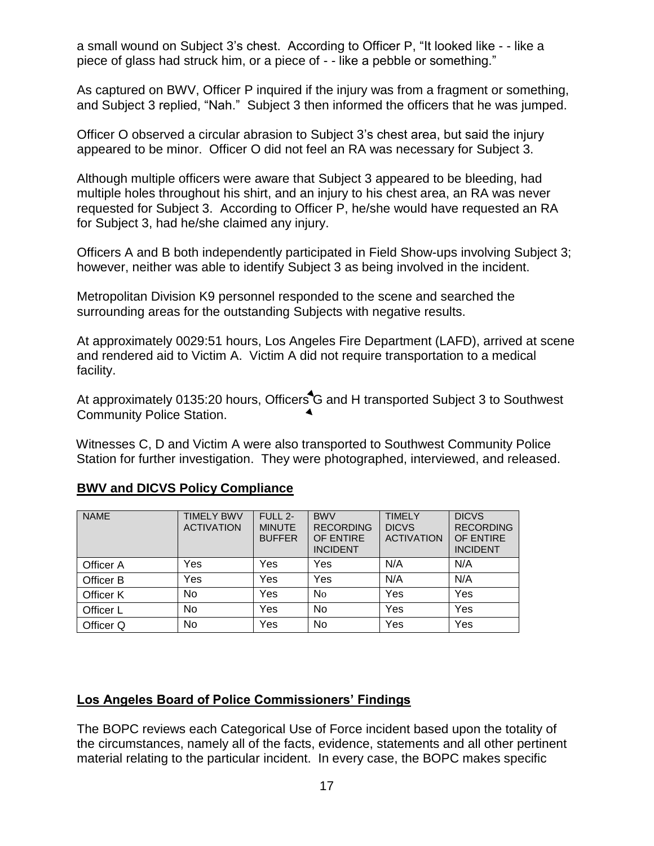a small wound on Subject 3's chest. According to Officer P, "It looked like - - like a piece of glass had struck him, or a piece of - - like a pebble or something."

As captured on BWV, Officer P inquired if the injury was from a fragment or something, and Subject 3 replied, "Nah." Subject 3 then informed the officers that he was jumped.

Officer O observed a circular abrasion to Subject 3's chest area, but said the injury appeared to be minor. Officer O did not feel an RA was necessary for Subject 3.

Although multiple officers were aware that Subject 3 appeared to be bleeding, had multiple holes throughout his shirt, and an injury to his chest area, an RA was never requested for Subject 3. According to Officer P, he/she would have requested an RA for Subject 3, had he/she claimed any injury.

Officers A and B both independently participated in Field Show-ups involving Subject 3; however, neither was able to identify Subject 3 as being involved in the incident.

Metropolitan Division K9 personnel responded to the scene and searched the surrounding areas for the outstanding Subjects with negative results.

At approximately 0029:51 hours, Los Angeles Fire Department (LAFD), arrived at scene and rendered aid to Victim A. Victim A did not require transportation to a medical facility.

At approximately 0135:20 hours, Officers G and H transported Subject 3 to Southwest Community Police Station.

Witnesses C, D and Victim A were also transported to Southwest Community Police Station for further investigation. They were photographed, interviewed, and released.

| <b>NAME</b> | <b>TIMELY BWV</b><br><b>ACTIVATION</b> | FULL 2-<br><b>MINUTE</b><br><b>BUFFER</b> | <b>BWV</b><br><b>RECORDING</b><br>OF ENTIRE<br><b>INCIDENT</b> | <b>TIMELY</b><br><b>DICVS</b><br><b>ACTIVATION</b> | <b>DICVS</b><br><b>RECORDING</b><br>OF ENTIRE<br><b>INCIDENT</b> |
|-------------|----------------------------------------|-------------------------------------------|----------------------------------------------------------------|----------------------------------------------------|------------------------------------------------------------------|
| Officer A   | Yes                                    | Yes                                       | Yes                                                            | N/A                                                | N/A                                                              |
| Officer B   | Yes                                    | Yes                                       | Yes                                                            | N/A                                                | N/A                                                              |
| Officer K   | <b>No</b>                              | Yes                                       | N <sub>0</sub>                                                 | Yes                                                | Yes                                                              |
| Officer L   | <b>No</b>                              | Yes                                       | <b>No</b>                                                      | Yes                                                | Yes                                                              |
| Officer Q   | No                                     | Yes                                       | No                                                             | Yes                                                | Yes                                                              |

## **BWV and DICVS Policy Compliance**

#### **Los Angeles Board of Police Commissioners' Findings**

The BOPC reviews each Categorical Use of Force incident based upon the totality of the circumstances, namely all of the facts, evidence, statements and all other pertinent material relating to the particular incident. In every case, the BOPC makes specific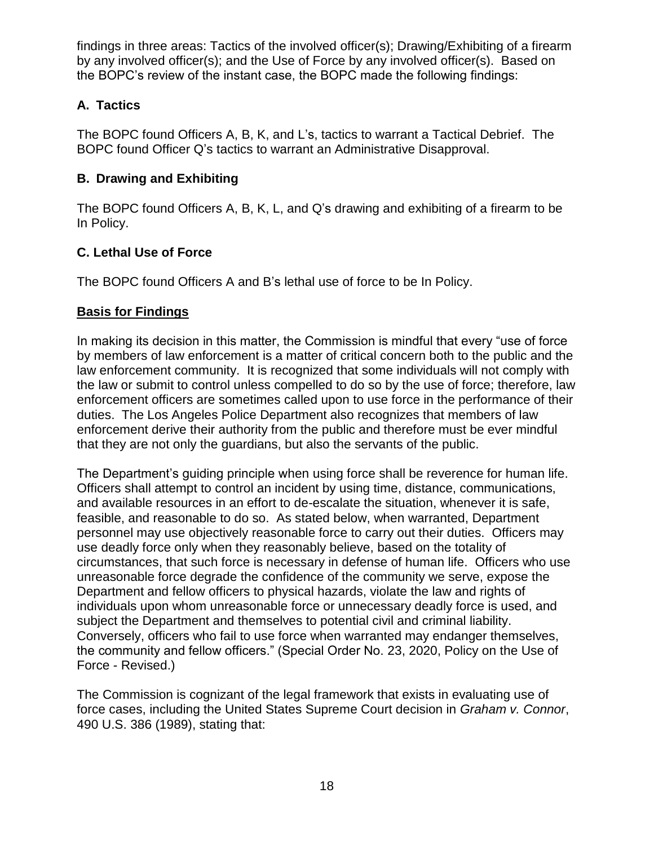findings in three areas: Tactics of the involved officer(s); Drawing/Exhibiting of a firearm by any involved officer(s); and the Use of Force by any involved officer(s). Based on the BOPC's review of the instant case, the BOPC made the following findings:

## **A. Tactics**

The BOPC found Officers A, B, K, and L's, tactics to warrant a Tactical Debrief. The BOPC found Officer Q's tactics to warrant an Administrative Disapproval.

## **B. Drawing and Exhibiting**

The BOPC found Officers A, B, K, L, and Q's drawing and exhibiting of a firearm to be In Policy.

# **C. Lethal Use of Force**

The BOPC found Officers A and B's lethal use of force to be In Policy.

## **Basis for Findings**

In making its decision in this matter, the Commission is mindful that every "use of force by members of law enforcement is a matter of critical concern both to the public and the law enforcement community. It is recognized that some individuals will not comply with the law or submit to control unless compelled to do so by the use of force; therefore, law enforcement officers are sometimes called upon to use force in the performance of their duties. The Los Angeles Police Department also recognizes that members of law enforcement derive their authority from the public and therefore must be ever mindful that they are not only the guardians, but also the servants of the public.

The Department's guiding principle when using force shall be reverence for human life. Officers shall attempt to control an incident by using time, distance, communications, and available resources in an effort to de-escalate the situation, whenever it is safe, feasible, and reasonable to do so. As stated below, when warranted, Department personnel may use objectively reasonable force to carry out their duties. Officers may use deadly force only when they reasonably believe, based on the totality of circumstances, that such force is necessary in defense of human life. Officers who use unreasonable force degrade the confidence of the community we serve, expose the Department and fellow officers to physical hazards, violate the law and rights of individuals upon whom unreasonable force or unnecessary deadly force is used, and subject the Department and themselves to potential civil and criminal liability. Conversely, officers who fail to use force when warranted may endanger themselves, the community and fellow officers." (Special Order No. 23, 2020, Policy on the Use of Force - Revised.)

The Commission is cognizant of the legal framework that exists in evaluating use of force cases, including the United States Supreme Court decision in *Graham v. Connor*, 490 U.S. 386 (1989), stating that: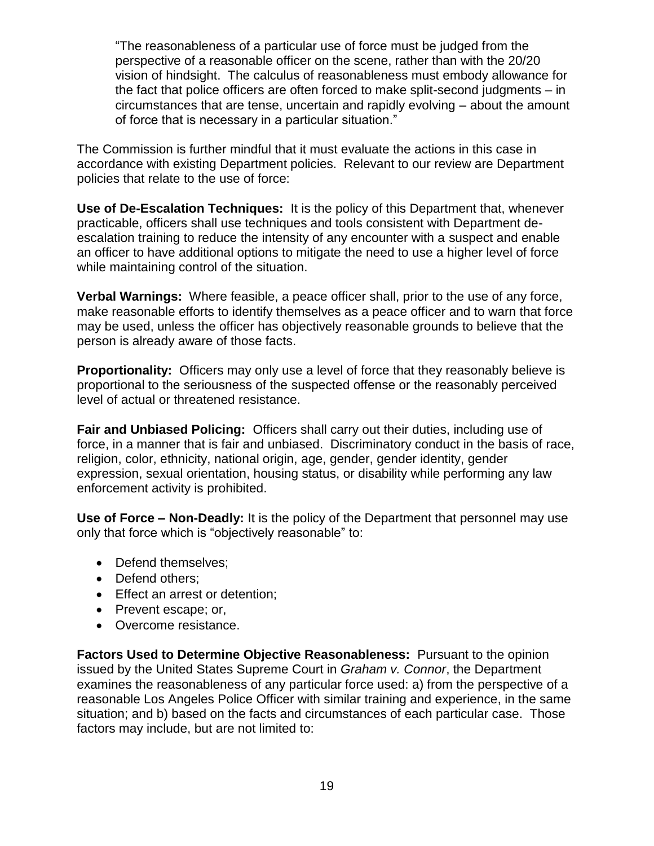"The reasonableness of a particular use of force must be judged from the perspective of a reasonable officer on the scene, rather than with the 20/20 vision of hindsight. The calculus of reasonableness must embody allowance for the fact that police officers are often forced to make split-second judgments – in circumstances that are tense, uncertain and rapidly evolving – about the amount of force that is necessary in a particular situation."

The Commission is further mindful that it must evaluate the actions in this case in accordance with existing Department policies. Relevant to our review are Department policies that relate to the use of force:

**Use of De-Escalation Techniques:** It is the policy of this Department that, whenever practicable, officers shall use techniques and tools consistent with Department deescalation training to reduce the intensity of any encounter with a suspect and enable an officer to have additional options to mitigate the need to use a higher level of force while maintaining control of the situation.

**Verbal Warnings:** Where feasible, a peace officer shall, prior to the use of any force, make reasonable efforts to identify themselves as a peace officer and to warn that force may be used, unless the officer has objectively reasonable grounds to believe that the person is already aware of those facts.

**Proportionality:** Officers may only use a level of force that they reasonably believe is proportional to the seriousness of the suspected offense or the reasonably perceived level of actual or threatened resistance.

**Fair and Unbiased Policing:** Officers shall carry out their duties, including use of force, in a manner that is fair and unbiased. Discriminatory conduct in the basis of race, religion, color, ethnicity, national origin, age, gender, gender identity, gender expression, sexual orientation, housing status, or disability while performing any law enforcement activity is prohibited.

**Use of Force – Non-Deadly:** It is the policy of the Department that personnel may use only that force which is "objectively reasonable" to:

- Defend themselves;
- Defend others;
- Effect an arrest or detention;
- Prevent escape; or,
- Overcome resistance.

**Factors Used to Determine Objective Reasonableness:** Pursuant to the opinion issued by the United States Supreme Court in *Graham v. Connor*, the Department examines the reasonableness of any particular force used: a) from the perspective of a reasonable Los Angeles Police Officer with similar training and experience, in the same situation; and b) based on the facts and circumstances of each particular case. Those factors may include, but are not limited to: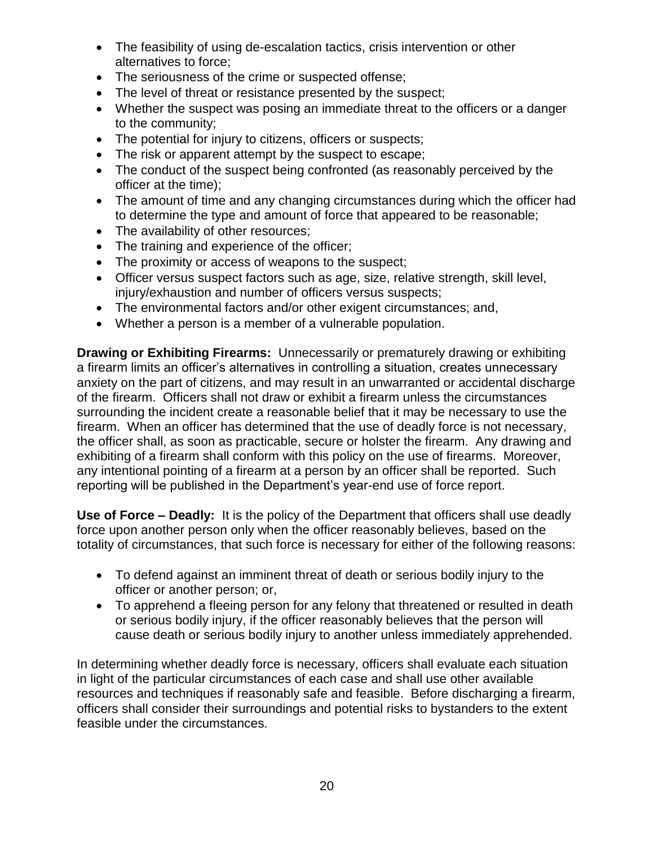- The feasibility of using de-escalation tactics, crisis intervention or other alternatives to force;
- The seriousness of the crime or suspected offense;
- The level of threat or resistance presented by the suspect;
- Whether the suspect was posing an immediate threat to the officers or a danger to the community;
- The potential for injury to citizens, officers or suspects;
- The risk or apparent attempt by the suspect to escape;
- The conduct of the suspect being confronted (as reasonably perceived by the officer at the time);
- The amount of time and any changing circumstances during which the officer had to determine the type and amount of force that appeared to be reasonable;
- The availability of other resources;
- The training and experience of the officer;
- The proximity or access of weapons to the suspect;
- Officer versus suspect factors such as age, size, relative strength, skill level, injury/exhaustion and number of officers versus suspects;
- The environmental factors and/or other exigent circumstances; and,
- Whether a person is a member of a vulnerable population.

**Drawing or Exhibiting Firearms:** Unnecessarily or prematurely drawing or exhibiting a firearm limits an officer's alternatives in controlling a situation, creates unnecessary anxiety on the part of citizens, and may result in an unwarranted or accidental discharge of the firearm. Officers shall not draw or exhibit a firearm unless the circumstances surrounding the incident create a reasonable belief that it may be necessary to use the firearm. When an officer has determined that the use of deadly force is not necessary, the officer shall, as soon as practicable, secure or holster the firearm. Any drawing and exhibiting of a firearm shall conform with this policy on the use of firearms. Moreover, any intentional pointing of a firearm at a person by an officer shall be reported. Such reporting will be published in the Department's year-end use of force report.

**Use of Force – Deadly:** It is the policy of the Department that officers shall use deadly force upon another person only when the officer reasonably believes, based on the totality of circumstances, that such force is necessary for either of the following reasons:

- To defend against an imminent threat of death or serious bodily injury to the officer or another person; or,
- To apprehend a fleeing person for any felony that threatened or resulted in death or serious bodily injury, if the officer reasonably believes that the person will cause death or serious bodily injury to another unless immediately apprehended.

In determining whether deadly force is necessary, officers shall evaluate each situation in light of the particular circumstances of each case and shall use other available resources and techniques if reasonably safe and feasible. Before discharging a firearm, officers shall consider their surroundings and potential risks to bystanders to the extent feasible under the circumstances.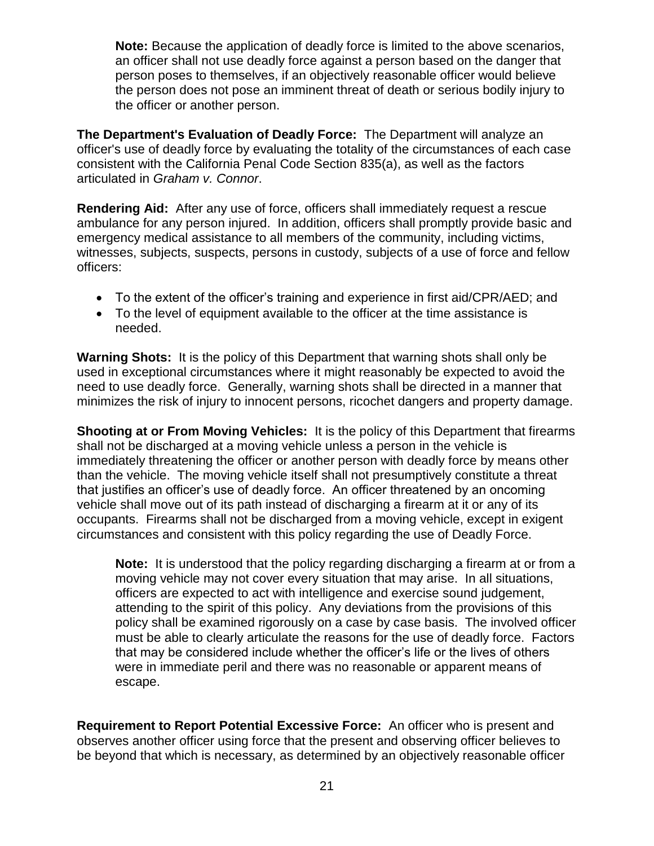**Note:** Because the application of deadly force is limited to the above scenarios, an officer shall not use deadly force against a person based on the danger that person poses to themselves, if an objectively reasonable officer would believe the person does not pose an imminent threat of death or serious bodily injury to the officer or another person.

**The Department's Evaluation of Deadly Force:** The Department will analyze an officer's use of deadly force by evaluating the totality of the circumstances of each case consistent with the California Penal Code Section 835(a), as well as the factors articulated in *Graham v. Connor*.

**Rendering Aid:** After any use of force, officers shall immediately request a rescue ambulance for any person injured. In addition, officers shall promptly provide basic and emergency medical assistance to all members of the community, including victims, witnesses, subjects, suspects, persons in custody, subjects of a use of force and fellow officers:

- To the extent of the officer's training and experience in first aid/CPR/AED; and
- To the level of equipment available to the officer at the time assistance is needed.

**Warning Shots:** It is the policy of this Department that warning shots shall only be used in exceptional circumstances where it might reasonably be expected to avoid the need to use deadly force. Generally, warning shots shall be directed in a manner that minimizes the risk of injury to innocent persons, ricochet dangers and property damage.

**Shooting at or From Moving Vehicles:** It is the policy of this Department that firearms shall not be discharged at a moving vehicle unless a person in the vehicle is immediately threatening the officer or another person with deadly force by means other than the vehicle. The moving vehicle itself shall not presumptively constitute a threat that justifies an officer's use of deadly force. An officer threatened by an oncoming vehicle shall move out of its path instead of discharging a firearm at it or any of its occupants. Firearms shall not be discharged from a moving vehicle, except in exigent circumstances and consistent with this policy regarding the use of Deadly Force.

**Note:** It is understood that the policy regarding discharging a firearm at or from a moving vehicle may not cover every situation that may arise. In all situations, officers are expected to act with intelligence and exercise sound judgement, attending to the spirit of this policy. Any deviations from the provisions of this policy shall be examined rigorously on a case by case basis. The involved officer must be able to clearly articulate the reasons for the use of deadly force. Factors that may be considered include whether the officer's life or the lives of others were in immediate peril and there was no reasonable or apparent means of escape.

**Requirement to Report Potential Excessive Force:** An officer who is present and observes another officer using force that the present and observing officer believes to be beyond that which is necessary, as determined by an objectively reasonable officer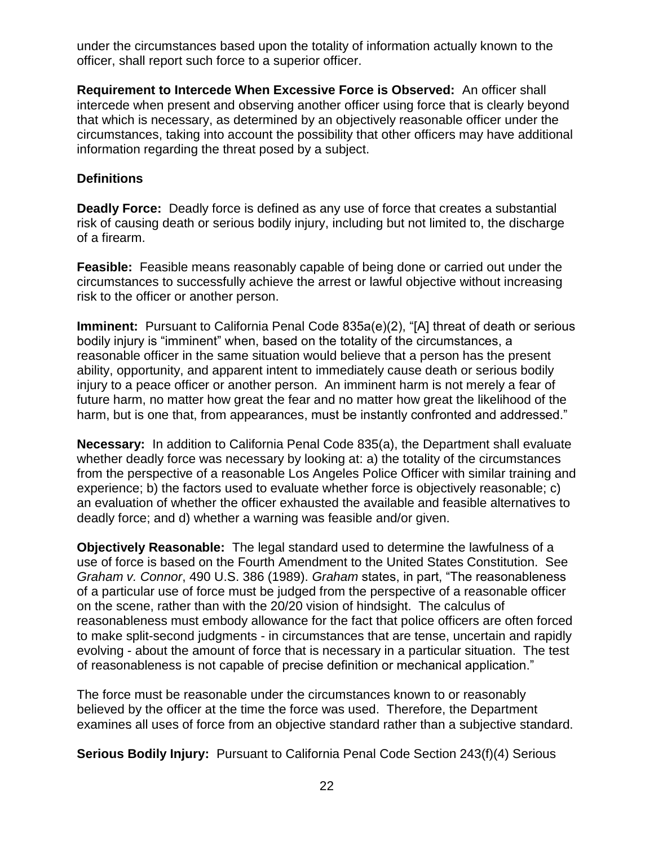under the circumstances based upon the totality of information actually known to the officer, shall report such force to a superior officer.

**Requirement to Intercede When Excessive Force is Observed:** An officer shall intercede when present and observing another officer using force that is clearly beyond that which is necessary, as determined by an objectively reasonable officer under the circumstances, taking into account the possibility that other officers may have additional information regarding the threat posed by a subject.

#### **Definitions**

**Deadly Force:** Deadly force is defined as any use of force that creates a substantial risk of causing death or serious bodily injury, including but not limited to, the discharge of a firearm.

**Feasible:** Feasible means reasonably capable of being done or carried out under the circumstances to successfully achieve the arrest or lawful objective without increasing risk to the officer or another person.

**Imminent:** Pursuant to California Penal Code 835a(e)(2), "[A] threat of death or serious bodily injury is "imminent" when, based on the totality of the circumstances, a reasonable officer in the same situation would believe that a person has the present ability, opportunity, and apparent intent to immediately cause death or serious bodily injury to a peace officer or another person. An imminent harm is not merely a fear of future harm, no matter how great the fear and no matter how great the likelihood of the harm, but is one that, from appearances, must be instantly confronted and addressed."

**Necessary:** In addition to California Penal Code 835(a), the Department shall evaluate whether deadly force was necessary by looking at: a) the totality of the circumstances from the perspective of a reasonable Los Angeles Police Officer with similar training and experience; b) the factors used to evaluate whether force is objectively reasonable; c) an evaluation of whether the officer exhausted the available and feasible alternatives to deadly force; and d) whether a warning was feasible and/or given.

**Objectively Reasonable:** The legal standard used to determine the lawfulness of a use of force is based on the Fourth Amendment to the United States Constitution. See *Graham v. Connor*, 490 U.S. 386 (1989). *Graham* states, in part, "The reasonableness of a particular use of force must be judged from the perspective of a reasonable officer on the scene, rather than with the 20/20 vision of hindsight. The calculus of reasonableness must embody allowance for the fact that police officers are often forced to make split-second judgments - in circumstances that are tense, uncertain and rapidly evolving - about the amount of force that is necessary in a particular situation. The test of reasonableness is not capable of precise definition or mechanical application."

The force must be reasonable under the circumstances known to or reasonably believed by the officer at the time the force was used. Therefore, the Department examines all uses of force from an objective standard rather than a subjective standard.

**Serious Bodily Injury:** Pursuant to California Penal Code Section 243(f)(4) Serious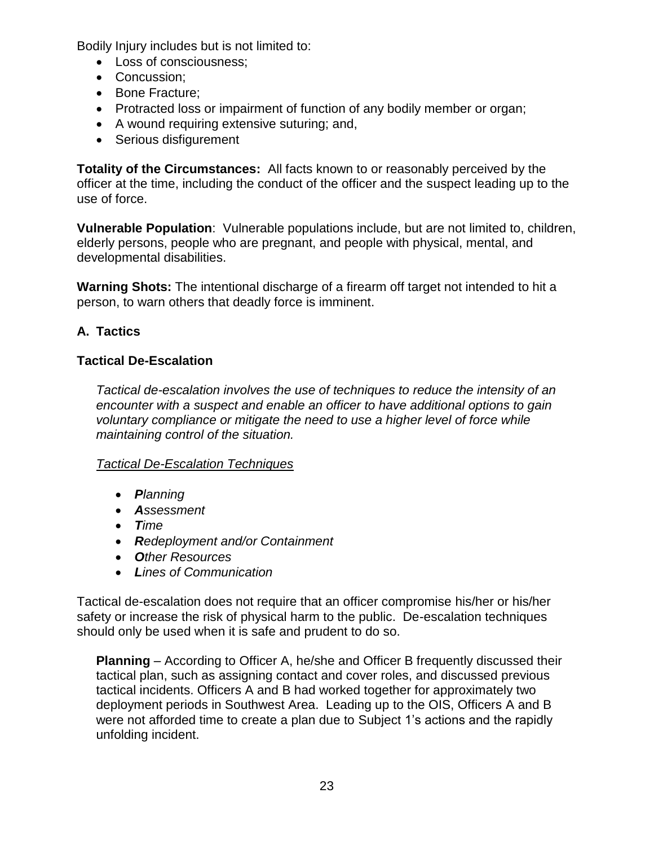Bodily Injury includes but is not limited to:

- Loss of consciousness;
- Concussion;
- Bone Fracture;
- Protracted loss or impairment of function of any bodily member or organ;
- A wound requiring extensive suturing; and,
- Serious disfigurement

**Totality of the Circumstances:** All facts known to or reasonably perceived by the officer at the time, including the conduct of the officer and the suspect leading up to the use of force.

**Vulnerable Population**: Vulnerable populations include, but are not limited to, children, elderly persons, people who are pregnant, and people with physical, mental, and developmental disabilities.

**Warning Shots:** The intentional discharge of a firearm off target not intended to hit a person, to warn others that deadly force is imminent.

# **A. Tactics**

## **Tactical De-Escalation**

*Tactical de-escalation involves the use of techniques to reduce the intensity of an encounter with a suspect and enable an officer to have additional options to gain voluntary compliance or mitigate the need to use a higher level of force while maintaining control of the situation.* 

## *Tactical De-Escalation Techniques*

- *Planning*
- *Assessment*
- *Time*
- *Redeployment and/or Containment*
- *Other Resources*
- *Lines of Communication*

Tactical de-escalation does not require that an officer compromise his/her or his/her safety or increase the risk of physical harm to the public. De-escalation techniques should only be used when it is safe and prudent to do so.

**Planning** – According to Officer A, he/she and Officer B frequently discussed their tactical plan, such as assigning contact and cover roles, and discussed previous tactical incidents. Officers A and B had worked together for approximately two deployment periods in Southwest Area. Leading up to the OIS, Officers A and B were not afforded time to create a plan due to Subject 1's actions and the rapidly unfolding incident.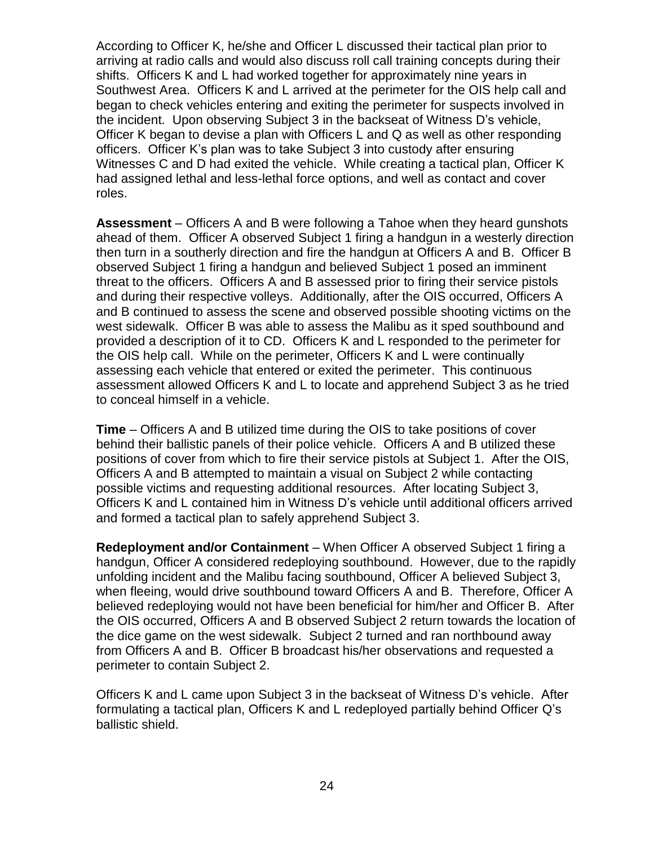According to Officer K, he/she and Officer L discussed their tactical plan prior to arriving at radio calls and would also discuss roll call training concepts during their shifts. Officers K and L had worked together for approximately nine years in Southwest Area. Officers K and L arrived at the perimeter for the OIS help call and began to check vehicles entering and exiting the perimeter for suspects involved in the incident. Upon observing Subject 3 in the backseat of Witness D's vehicle, Officer K began to devise a plan with Officers L and Q as well as other responding officers. Officer K's plan was to take Subject 3 into custody after ensuring Witnesses C and D had exited the vehicle. While creating a tactical plan, Officer K had assigned lethal and less-lethal force options, and well as contact and cover roles.

**Assessment** – Officers A and B were following a Tahoe when they heard gunshots ahead of them. Officer A observed Subject 1 firing a handgun in a westerly direction then turn in a southerly direction and fire the handgun at Officers A and B. Officer B observed Subject 1 firing a handgun and believed Subject 1 posed an imminent threat to the officers. Officers A and B assessed prior to firing their service pistols and during their respective volleys. Additionally, after the OIS occurred, Officers A and B continued to assess the scene and observed possible shooting victims on the west sidewalk. Officer B was able to assess the Malibu as it sped southbound and provided a description of it to CD. Officers K and L responded to the perimeter for the OIS help call. While on the perimeter, Officers K and L were continually assessing each vehicle that entered or exited the perimeter. This continuous assessment allowed Officers K and L to locate and apprehend Subject 3 as he tried to conceal himself in a vehicle.

**Time** – Officers A and B utilized time during the OIS to take positions of cover behind their ballistic panels of their police vehicle. Officers A and B utilized these positions of cover from which to fire their service pistols at Subject 1. After the OIS, Officers A and B attempted to maintain a visual on Subject 2 while contacting possible victims and requesting additional resources. After locating Subject 3, Officers K and L contained him in Witness D's vehicle until additional officers arrived and formed a tactical plan to safely apprehend Subject 3.

**Redeployment and/or Containment** – When Officer A observed Subject 1 firing a handgun, Officer A considered redeploying southbound. However, due to the rapidly unfolding incident and the Malibu facing southbound, Officer A believed Subject 3, when fleeing, would drive southbound toward Officers A and B. Therefore, Officer A believed redeploying would not have been beneficial for him/her and Officer B. After the OIS occurred, Officers A and B observed Subject 2 return towards the location of the dice game on the west sidewalk. Subject 2 turned and ran northbound away from Officers A and B. Officer B broadcast his/her observations and requested a perimeter to contain Subject 2.

Officers K and L came upon Subject 3 in the backseat of Witness D's vehicle. After formulating a tactical plan, Officers K and L redeployed partially behind Officer Q's ballistic shield.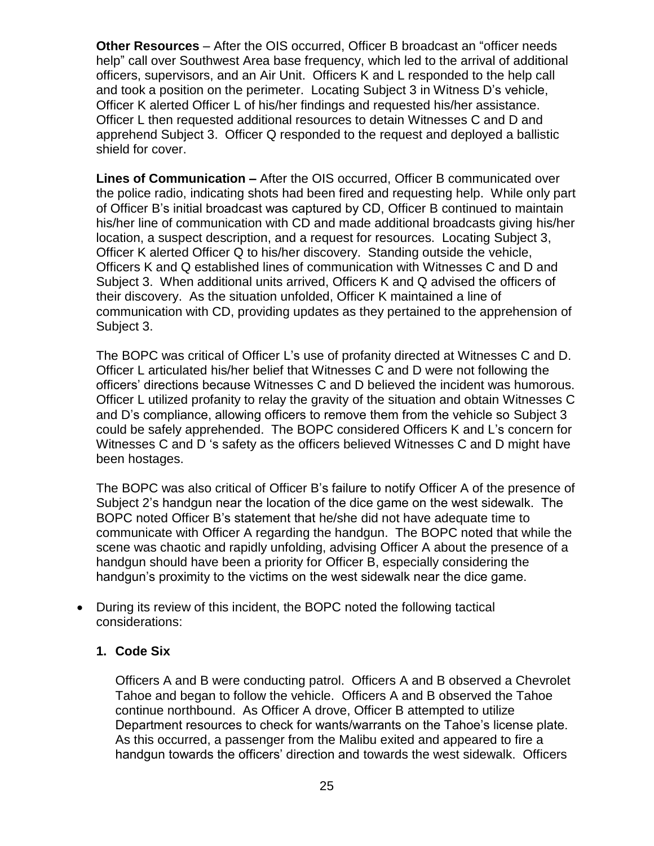**Other Resources** – After the OIS occurred, Officer B broadcast an "officer needs help" call over Southwest Area base frequency, which led to the arrival of additional officers, supervisors, and an Air Unit. Officers K and L responded to the help call and took a position on the perimeter. Locating Subject 3 in Witness D's vehicle, Officer K alerted Officer L of his/her findings and requested his/her assistance. Officer L then requested additional resources to detain Witnesses C and D and apprehend Subject 3. Officer Q responded to the request and deployed a ballistic shield for cover.

**Lines of Communication –** After the OIS occurred, Officer B communicated over the police radio, indicating shots had been fired and requesting help. While only part of Officer B's initial broadcast was captured by CD, Officer B continued to maintain his/her line of communication with CD and made additional broadcasts giving his/her location, a suspect description, and a request for resources. Locating Subject 3, Officer K alerted Officer Q to his/her discovery. Standing outside the vehicle, Officers K and Q established lines of communication with Witnesses C and D and Subject 3. When additional units arrived, Officers K and Q advised the officers of their discovery. As the situation unfolded, Officer K maintained a line of communication with CD, providing updates as they pertained to the apprehension of Subject 3.

The BOPC was critical of Officer L's use of profanity directed at Witnesses C and D. Officer L articulated his/her belief that Witnesses C and D were not following the officers' directions because Witnesses C and D believed the incident was humorous. Officer L utilized profanity to relay the gravity of the situation and obtain Witnesses C and D's compliance, allowing officers to remove them from the vehicle so Subject 3 could be safely apprehended. The BOPC considered Officers K and L's concern for Witnesses C and D 's safety as the officers believed Witnesses C and D might have been hostages.

The BOPC was also critical of Officer B's failure to notify Officer A of the presence of Subject 2's handgun near the location of the dice game on the west sidewalk. The BOPC noted Officer B's statement that he/she did not have adequate time to communicate with Officer A regarding the handgun. The BOPC noted that while the scene was chaotic and rapidly unfolding, advising Officer A about the presence of a handgun should have been a priority for Officer B, especially considering the handgun's proximity to the victims on the west sidewalk near the dice game.

• During its review of this incident, the BOPC noted the following tactical considerations:

#### **1. Code Six**

Officers A and B were conducting patrol. Officers A and B observed a Chevrolet Tahoe and began to follow the vehicle. Officers A and B observed the Tahoe continue northbound. As Officer A drove, Officer B attempted to utilize Department resources to check for wants/warrants on the Tahoe's license plate. As this occurred, a passenger from the Malibu exited and appeared to fire a handgun towards the officers' direction and towards the west sidewalk. Officers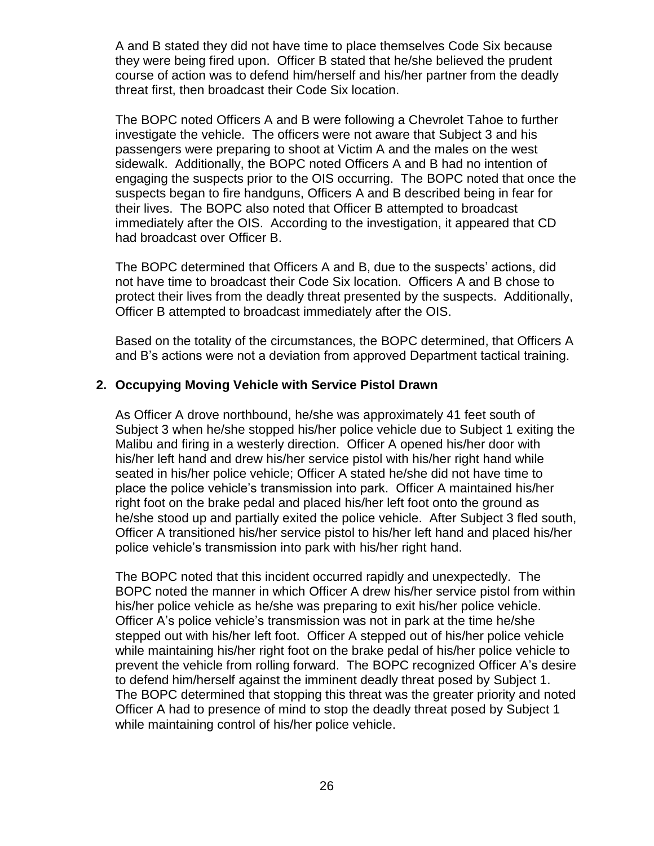A and B stated they did not have time to place themselves Code Six because they were being fired upon. Officer B stated that he/she believed the prudent course of action was to defend him/herself and his/her partner from the deadly threat first, then broadcast their Code Six location.

The BOPC noted Officers A and B were following a Chevrolet Tahoe to further investigate the vehicle. The officers were not aware that Subject 3 and his passengers were preparing to shoot at Victim A and the males on the west sidewalk. Additionally, the BOPC noted Officers A and B had no intention of engaging the suspects prior to the OIS occurring. The BOPC noted that once the suspects began to fire handguns, Officers A and B described being in fear for their lives. The BOPC also noted that Officer B attempted to broadcast immediately after the OIS. According to the investigation, it appeared that CD had broadcast over Officer B.

The BOPC determined that Officers A and B, due to the suspects' actions, did not have time to broadcast their Code Six location. Officers A and B chose to protect their lives from the deadly threat presented by the suspects. Additionally, Officer B attempted to broadcast immediately after the OIS.

Based on the totality of the circumstances, the BOPC determined, that Officers A and B's actions were not a deviation from approved Department tactical training.

#### **2. Occupying Moving Vehicle with Service Pistol Drawn**

As Officer A drove northbound, he/she was approximately 41 feet south of Subject 3 when he/she stopped his/her police vehicle due to Subject 1 exiting the Malibu and firing in a westerly direction. Officer A opened his/her door with his/her left hand and drew his/her service pistol with his/her right hand while seated in his/her police vehicle; Officer A stated he/she did not have time to place the police vehicle's transmission into park. Officer A maintained his/her right foot on the brake pedal and placed his/her left foot onto the ground as he/she stood up and partially exited the police vehicle. After Subject 3 fled south, Officer A transitioned his/her service pistol to his/her left hand and placed his/her police vehicle's transmission into park with his/her right hand.

The BOPC noted that this incident occurred rapidly and unexpectedly. The BOPC noted the manner in which Officer A drew his/her service pistol from within his/her police vehicle as he/she was preparing to exit his/her police vehicle. Officer A's police vehicle's transmission was not in park at the time he/she stepped out with his/her left foot. Officer A stepped out of his/her police vehicle while maintaining his/her right foot on the brake pedal of his/her police vehicle to prevent the vehicle from rolling forward. The BOPC recognized Officer A's desire to defend him/herself against the imminent deadly threat posed by Subject 1. The BOPC determined that stopping this threat was the greater priority and noted Officer A had to presence of mind to stop the deadly threat posed by Subject 1 while maintaining control of his/her police vehicle.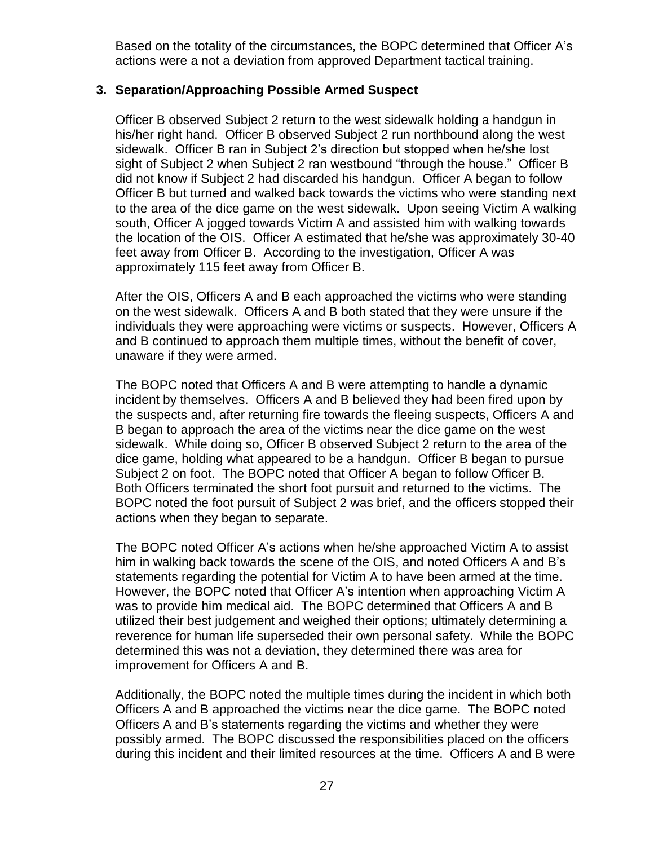Based on the totality of the circumstances, the BOPC determined that Officer A's actions were a not a deviation from approved Department tactical training.

#### **3. Separation/Approaching Possible Armed Suspect**

Officer B observed Subject 2 return to the west sidewalk holding a handgun in his/her right hand. Officer B observed Subject 2 run northbound along the west sidewalk. Officer B ran in Subject 2's direction but stopped when he/she lost sight of Subject 2 when Subject 2 ran westbound "through the house." Officer B did not know if Subject 2 had discarded his handgun. Officer A began to follow Officer B but turned and walked back towards the victims who were standing next to the area of the dice game on the west sidewalk. Upon seeing Victim A walking south, Officer A jogged towards Victim A and assisted him with walking towards the location of the OIS. Officer A estimated that he/she was approximately 30-40 feet away from Officer B. According to the investigation, Officer A was approximately 115 feet away from Officer B.

After the OIS, Officers A and B each approached the victims who were standing on the west sidewalk. Officers A and B both stated that they were unsure if the individuals they were approaching were victims or suspects. However, Officers A and B continued to approach them multiple times, without the benefit of cover, unaware if they were armed.

The BOPC noted that Officers A and B were attempting to handle a dynamic incident by themselves. Officers A and B believed they had been fired upon by the suspects and, after returning fire towards the fleeing suspects, Officers A and B began to approach the area of the victims near the dice game on the west sidewalk. While doing so, Officer B observed Subject 2 return to the area of the dice game, holding what appeared to be a handgun. Officer B began to pursue Subject 2 on foot. The BOPC noted that Officer A began to follow Officer B. Both Officers terminated the short foot pursuit and returned to the victims. The BOPC noted the foot pursuit of Subject 2 was brief, and the officers stopped their actions when they began to separate.

The BOPC noted Officer A's actions when he/she approached Victim A to assist him in walking back towards the scene of the OIS, and noted Officers A and B's statements regarding the potential for Victim A to have been armed at the time. However, the BOPC noted that Officer A's intention when approaching Victim A was to provide him medical aid. The BOPC determined that Officers A and B utilized their best judgement and weighed their options; ultimately determining a reverence for human life superseded their own personal safety. While the BOPC determined this was not a deviation, they determined there was area for improvement for Officers A and B.

Additionally, the BOPC noted the multiple times during the incident in which both Officers A and B approached the victims near the dice game. The BOPC noted Officers A and B's statements regarding the victims and whether they were possibly armed. The BOPC discussed the responsibilities placed on the officers during this incident and their limited resources at the time. Officers A and B were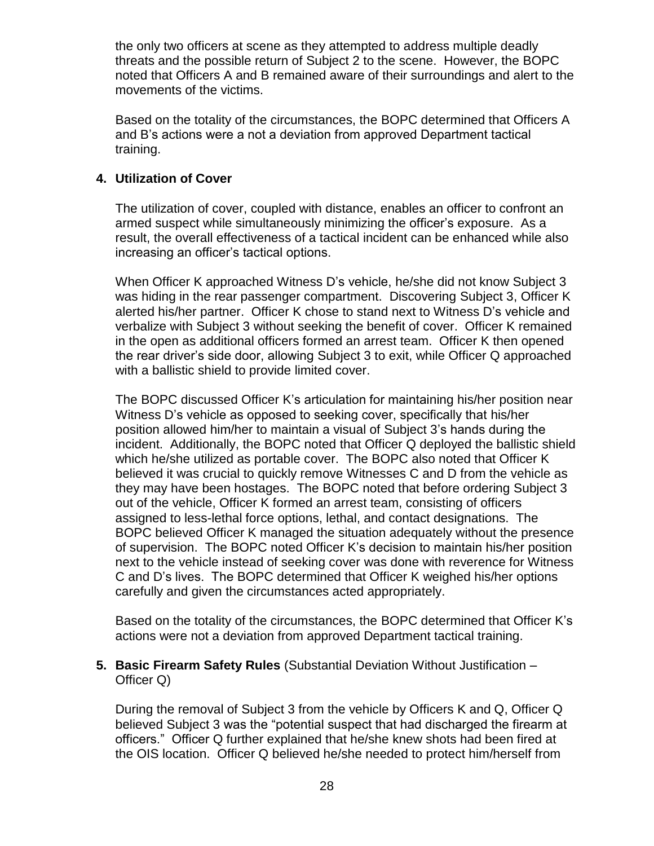the only two officers at scene as they attempted to address multiple deadly threats and the possible return of Subject 2 to the scene. However, the BOPC noted that Officers A and B remained aware of their surroundings and alert to the movements of the victims.

Based on the totality of the circumstances, the BOPC determined that Officers A and B's actions were a not a deviation from approved Department tactical training.

#### **4. Utilization of Cover**

The utilization of cover, coupled with distance, enables an officer to confront an armed suspect while simultaneously minimizing the officer's exposure. As a result, the overall effectiveness of a tactical incident can be enhanced while also increasing an officer's tactical options.

When Officer K approached Witness D's vehicle, he/she did not know Subject 3 was hiding in the rear passenger compartment. Discovering Subject 3, Officer K alerted his/her partner. Officer K chose to stand next to Witness D's vehicle and verbalize with Subject 3 without seeking the benefit of cover. Officer K remained in the open as additional officers formed an arrest team. Officer K then opened the rear driver's side door, allowing Subject 3 to exit, while Officer Q approached with a ballistic shield to provide limited cover.

The BOPC discussed Officer K's articulation for maintaining his/her position near Witness D's vehicle as opposed to seeking cover, specifically that his/her position allowed him/her to maintain a visual of Subject 3's hands during the incident. Additionally, the BOPC noted that Officer Q deployed the ballistic shield which he/she utilized as portable cover. The BOPC also noted that Officer K believed it was crucial to quickly remove Witnesses C and D from the vehicle as they may have been hostages. The BOPC noted that before ordering Subject 3 out of the vehicle, Officer K formed an arrest team, consisting of officers assigned to less-lethal force options, lethal, and contact designations. The BOPC believed Officer K managed the situation adequately without the presence of supervision. The BOPC noted Officer K's decision to maintain his/her position next to the vehicle instead of seeking cover was done with reverence for Witness C and D's lives. The BOPC determined that Officer K weighed his/her options carefully and given the circumstances acted appropriately.

Based on the totality of the circumstances, the BOPC determined that Officer K's actions were not a deviation from approved Department tactical training.

**5. Basic Firearm Safety Rules** (Substantial Deviation Without Justification – Officer Q)

During the removal of Subject 3 from the vehicle by Officers K and Q, Officer Q believed Subject 3 was the "potential suspect that had discharged the firearm at officers." Officer Q further explained that he/she knew shots had been fired at the OIS location. Officer Q believed he/she needed to protect him/herself from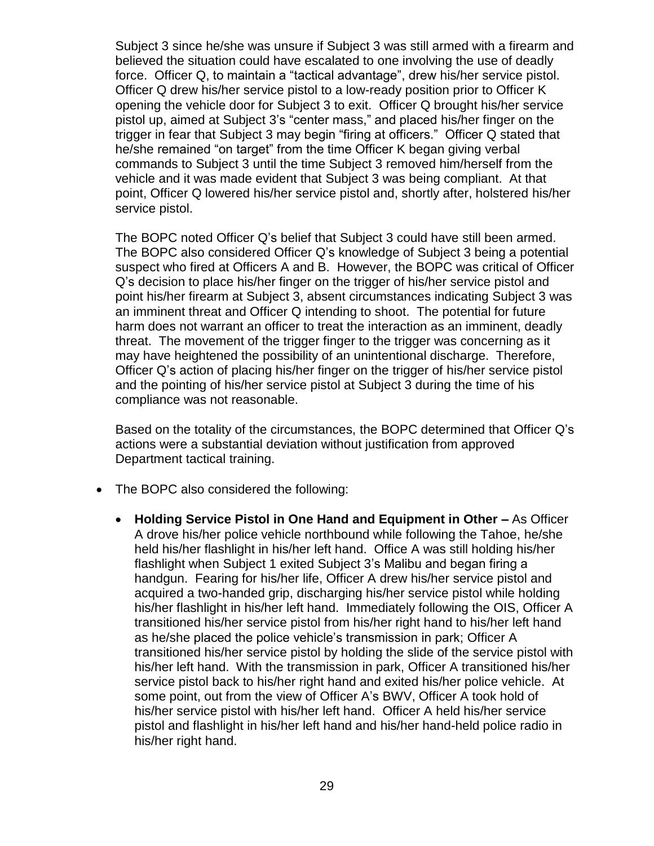Subject 3 since he/she was unsure if Subject 3 was still armed with a firearm and believed the situation could have escalated to one involving the use of deadly force. Officer Q, to maintain a "tactical advantage", drew his/her service pistol. Officer Q drew his/her service pistol to a low-ready position prior to Officer K opening the vehicle door for Subject 3 to exit. Officer Q brought his/her service pistol up, aimed at Subject 3's "center mass," and placed his/her finger on the trigger in fear that Subject 3 may begin "firing at officers." Officer Q stated that he/she remained "on target" from the time Officer K began giving verbal commands to Subject 3 until the time Subject 3 removed him/herself from the vehicle and it was made evident that Subject 3 was being compliant. At that point, Officer Q lowered his/her service pistol and, shortly after, holstered his/her service pistol.

The BOPC noted Officer Q's belief that Subject 3 could have still been armed. The BOPC also considered Officer Q's knowledge of Subject 3 being a potential suspect who fired at Officers A and B. However, the BOPC was critical of Officer Q's decision to place his/her finger on the trigger of his/her service pistol and point his/her firearm at Subject 3, absent circumstances indicating Subject 3 was an imminent threat and Officer Q intending to shoot. The potential for future harm does not warrant an officer to treat the interaction as an imminent, deadly threat. The movement of the trigger finger to the trigger was concerning as it may have heightened the possibility of an unintentional discharge. Therefore, Officer Q's action of placing his/her finger on the trigger of his/her service pistol and the pointing of his/her service pistol at Subject 3 during the time of his compliance was not reasonable.

Based on the totality of the circumstances, the BOPC determined that Officer Q's actions were a substantial deviation without justification from approved Department tactical training.

- The BOPC also considered the following:
	- **Holding Service Pistol in One Hand and Equipment in Other –** As Officer A drove his/her police vehicle northbound while following the Tahoe, he/she held his/her flashlight in his/her left hand. Office A was still holding his/her flashlight when Subject 1 exited Subject 3's Malibu and began firing a handgun. Fearing for his/her life, Officer A drew his/her service pistol and acquired a two-handed grip, discharging his/her service pistol while holding his/her flashlight in his/her left hand. Immediately following the OIS, Officer A transitioned his/her service pistol from his/her right hand to his/her left hand as he/she placed the police vehicle's transmission in park; Officer A transitioned his/her service pistol by holding the slide of the service pistol with his/her left hand. With the transmission in park, Officer A transitioned his/her service pistol back to his/her right hand and exited his/her police vehicle. At some point, out from the view of Officer A's BWV, Officer A took hold of his/her service pistol with his/her left hand. Officer A held his/her service pistol and flashlight in his/her left hand and his/her hand-held police radio in his/her right hand.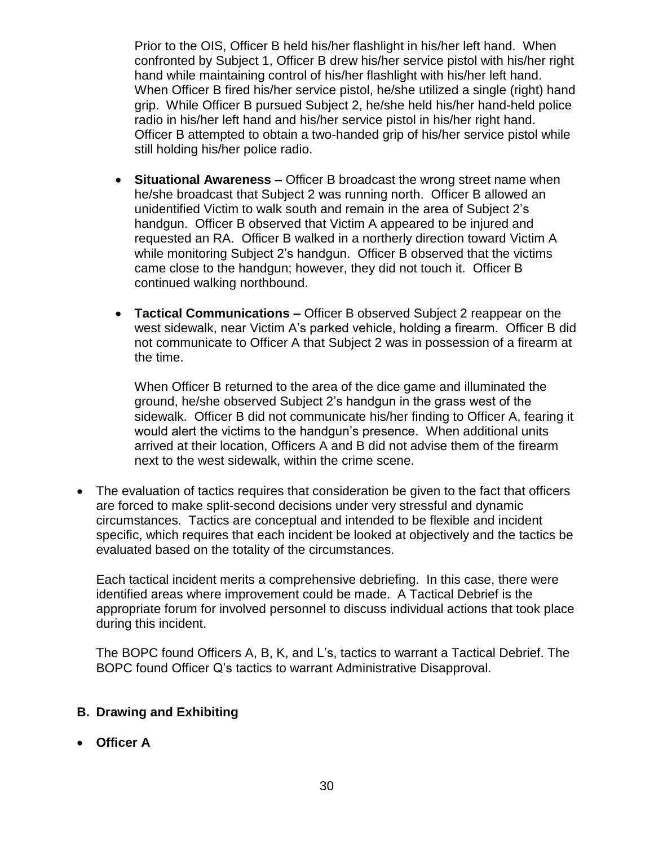Prior to the OIS, Officer B held his/her flashlight in his/her left hand. When confronted by Subject 1, Officer B drew his/her service pistol with his/her right hand while maintaining control of his/her flashlight with his/her left hand. When Officer B fired his/her service pistol, he/she utilized a single (right) hand grip. While Officer B pursued Subject 2, he/she held his/her hand-held police radio in his/her left hand and his/her service pistol in his/her right hand. Officer B attempted to obtain a two-handed grip of his/her service pistol while still holding his/her police radio.

- **Situational Awareness –** Officer B broadcast the wrong street name when he/she broadcast that Subject 2 was running north. Officer B allowed an unidentified Victim to walk south and remain in the area of Subject 2's handgun. Officer B observed that Victim A appeared to be injured and requested an RA. Officer B walked in a northerly direction toward Victim A while monitoring Subject 2's handgun. Officer B observed that the victims came close to the handgun; however, they did not touch it. Officer B continued walking northbound.
- **Tactical Communications –** Officer B observed Subject 2 reappear on the west sidewalk, near Victim A's parked vehicle, holding a firearm. Officer B did not communicate to Officer A that Subject 2 was in possession of a firearm at the time.

When Officer B returned to the area of the dice game and illuminated the ground, he/she observed Subject 2's handgun in the grass west of the sidewalk. Officer B did not communicate his/her finding to Officer A, fearing it would alert the victims to the handgun's presence. When additional units arrived at their location, Officers A and B did not advise them of the firearm next to the west sidewalk, within the crime scene.

• The evaluation of tactics requires that consideration be given to the fact that officers are forced to make split-second decisions under very stressful and dynamic circumstances. Tactics are conceptual and intended to be flexible and incident specific, which requires that each incident be looked at objectively and the tactics be evaluated based on the totality of the circumstances.

Each tactical incident merits a comprehensive debriefing. In this case, there were identified areas where improvement could be made. A Tactical Debrief is the appropriate forum for involved personnel to discuss individual actions that took place during this incident.

The BOPC found Officers A, B, K, and L's, tactics to warrant a Tactical Debrief. The BOPC found Officer Q's tactics to warrant Administrative Disapproval.

## **B. Drawing and Exhibiting**

• **Officer A**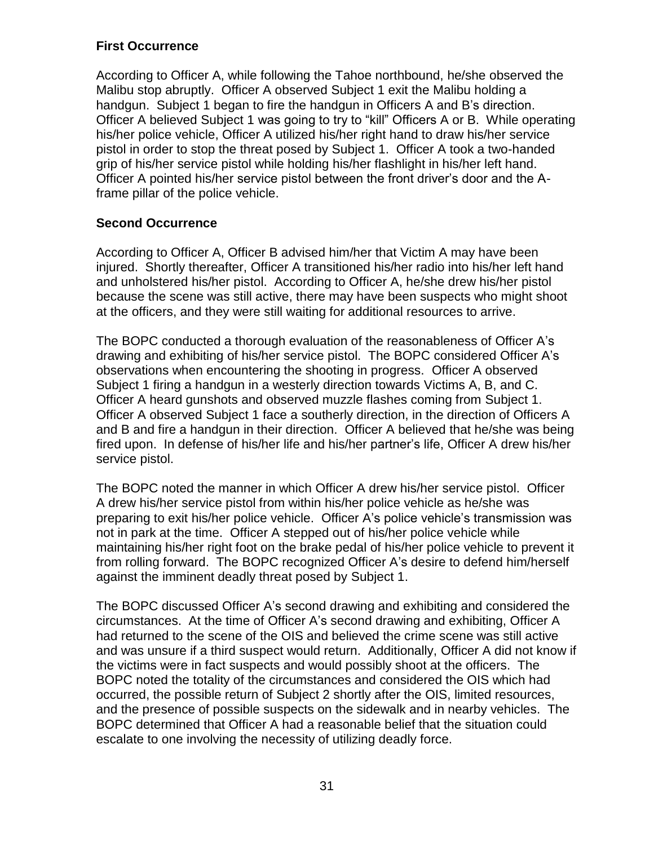#### **First Occurrence**

According to Officer A, while following the Tahoe northbound, he/she observed the Malibu stop abruptly. Officer A observed Subject 1 exit the Malibu holding a handgun. Subject 1 began to fire the handgun in Officers A and B's direction. Officer A believed Subject 1 was going to try to "kill" Officers A or B. While operating his/her police vehicle, Officer A utilized his/her right hand to draw his/her service pistol in order to stop the threat posed by Subject 1. Officer A took a two-handed grip of his/her service pistol while holding his/her flashlight in his/her left hand. Officer A pointed his/her service pistol between the front driver's door and the Aframe pillar of the police vehicle.

## **Second Occurrence**

According to Officer A, Officer B advised him/her that Victim A may have been injured. Shortly thereafter, Officer A transitioned his/her radio into his/her left hand and unholstered his/her pistol. According to Officer A, he/she drew his/her pistol because the scene was still active, there may have been suspects who might shoot at the officers, and they were still waiting for additional resources to arrive.

The BOPC conducted a thorough evaluation of the reasonableness of Officer A's drawing and exhibiting of his/her service pistol. The BOPC considered Officer A's observations when encountering the shooting in progress. Officer A observed Subject 1 firing a handgun in a westerly direction towards Victims A, B, and C. Officer A heard gunshots and observed muzzle flashes coming from Subject 1. Officer A observed Subject 1 face a southerly direction, in the direction of Officers A and B and fire a handgun in their direction. Officer A believed that he/she was being fired upon. In defense of his/her life and his/her partner's life, Officer A drew his/her service pistol.

The BOPC noted the manner in which Officer A drew his/her service pistol. Officer A drew his/her service pistol from within his/her police vehicle as he/she was preparing to exit his/her police vehicle. Officer A's police vehicle's transmission was not in park at the time. Officer A stepped out of his/her police vehicle while maintaining his/her right foot on the brake pedal of his/her police vehicle to prevent it from rolling forward. The BOPC recognized Officer A's desire to defend him/herself against the imminent deadly threat posed by Subject 1.

The BOPC discussed Officer A's second drawing and exhibiting and considered the circumstances. At the time of Officer A's second drawing and exhibiting, Officer A had returned to the scene of the OIS and believed the crime scene was still active and was unsure if a third suspect would return. Additionally, Officer A did not know if the victims were in fact suspects and would possibly shoot at the officers. The BOPC noted the totality of the circumstances and considered the OIS which had occurred, the possible return of Subject 2 shortly after the OIS, limited resources, and the presence of possible suspects on the sidewalk and in nearby vehicles. The BOPC determined that Officer A had a reasonable belief that the situation could escalate to one involving the necessity of utilizing deadly force.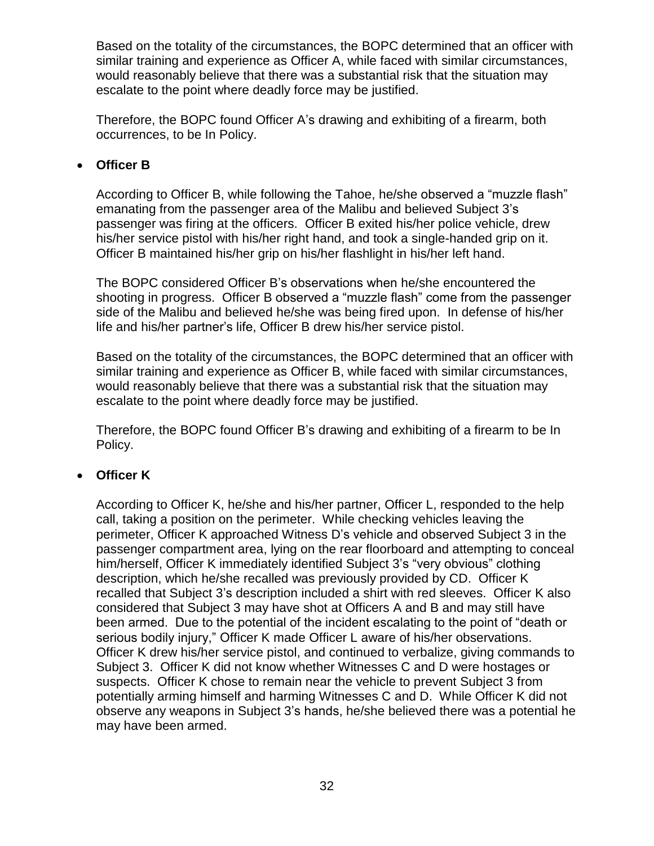Based on the totality of the circumstances, the BOPC determined that an officer with similar training and experience as Officer A, while faced with similar circumstances, would reasonably believe that there was a substantial risk that the situation may escalate to the point where deadly force may be justified.

Therefore, the BOPC found Officer A's drawing and exhibiting of a firearm, both occurrences, to be In Policy.

## • **Officer B**

According to Officer B, while following the Tahoe, he/she observed a "muzzle flash" emanating from the passenger area of the Malibu and believed Subject 3's passenger was firing at the officers. Officer B exited his/her police vehicle, drew his/her service pistol with his/her right hand, and took a single-handed grip on it. Officer B maintained his/her grip on his/her flashlight in his/her left hand.

The BOPC considered Officer B's observations when he/she encountered the shooting in progress. Officer B observed a "muzzle flash" come from the passenger side of the Malibu and believed he/she was being fired upon. In defense of his/her life and his/her partner's life, Officer B drew his/her service pistol.

Based on the totality of the circumstances, the BOPC determined that an officer with similar training and experience as Officer B, while faced with similar circumstances, would reasonably believe that there was a substantial risk that the situation may escalate to the point where deadly force may be justified.

Therefore, the BOPC found Officer B's drawing and exhibiting of a firearm to be In Policy.

## • **Officer K**

According to Officer K, he/she and his/her partner, Officer L, responded to the help call, taking a position on the perimeter. While checking vehicles leaving the perimeter, Officer K approached Witness D's vehicle and observed Subject 3 in the passenger compartment area, lying on the rear floorboard and attempting to conceal him/herself, Officer K immediately identified Subject 3's "very obvious" clothing description, which he/she recalled was previously provided by CD. Officer K recalled that Subject 3's description included a shirt with red sleeves. Officer K also considered that Subject 3 may have shot at Officers A and B and may still have been armed. Due to the potential of the incident escalating to the point of "death or serious bodily injury," Officer K made Officer L aware of his/her observations. Officer K drew his/her service pistol, and continued to verbalize, giving commands to Subject 3. Officer K did not know whether Witnesses C and D were hostages or suspects. Officer K chose to remain near the vehicle to prevent Subject 3 from potentially arming himself and harming Witnesses C and D. While Officer K did not observe any weapons in Subject 3's hands, he/she believed there was a potential he may have been armed.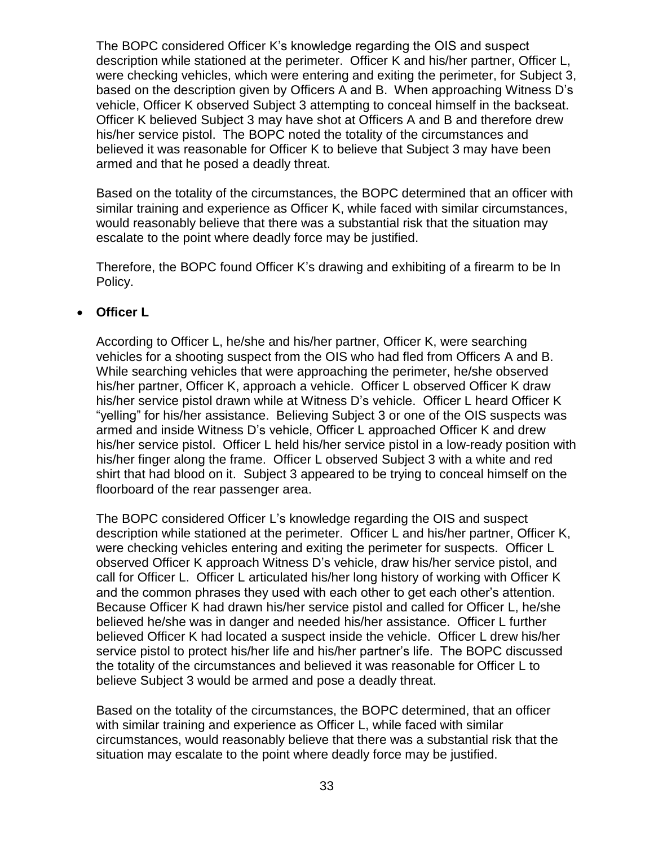The BOPC considered Officer K's knowledge regarding the OIS and suspect description while stationed at the perimeter. Officer K and his/her partner, Officer L, were checking vehicles, which were entering and exiting the perimeter, for Subject 3, based on the description given by Officers A and B. When approaching Witness D's vehicle, Officer K observed Subject 3 attempting to conceal himself in the backseat. Officer K believed Subject 3 may have shot at Officers A and B and therefore drew his/her service pistol. The BOPC noted the totality of the circumstances and believed it was reasonable for Officer K to believe that Subject 3 may have been armed and that he posed a deadly threat.

Based on the totality of the circumstances, the BOPC determined that an officer with similar training and experience as Officer K, while faced with similar circumstances, would reasonably believe that there was a substantial risk that the situation may escalate to the point where deadly force may be justified.

Therefore, the BOPC found Officer K's drawing and exhibiting of a firearm to be In Policy.

#### • **Officer L**

According to Officer L, he/she and his/her partner, Officer K, were searching vehicles for a shooting suspect from the OIS who had fled from Officers A and B. While searching vehicles that were approaching the perimeter, he/she observed his/her partner, Officer K, approach a vehicle. Officer L observed Officer K draw his/her service pistol drawn while at Witness D's vehicle. Officer L heard Officer K "yelling" for his/her assistance. Believing Subject 3 or one of the OIS suspects was armed and inside Witness D's vehicle, Officer L approached Officer K and drew his/her service pistol. Officer L held his/her service pistol in a low-ready position with his/her finger along the frame. Officer L observed Subject 3 with a white and red shirt that had blood on it. Subject 3 appeared to be trying to conceal himself on the floorboard of the rear passenger area.

The BOPC considered Officer L's knowledge regarding the OIS and suspect description while stationed at the perimeter. Officer L and his/her partner, Officer K, were checking vehicles entering and exiting the perimeter for suspects. Officer L observed Officer K approach Witness D's vehicle, draw his/her service pistol, and call for Officer L. Officer L articulated his/her long history of working with Officer K and the common phrases they used with each other to get each other's attention. Because Officer K had drawn his/her service pistol and called for Officer L, he/she believed he/she was in danger and needed his/her assistance. Officer L further believed Officer K had located a suspect inside the vehicle. Officer L drew his/her service pistol to protect his/her life and his/her partner's life. The BOPC discussed the totality of the circumstances and believed it was reasonable for Officer L to believe Subject 3 would be armed and pose a deadly threat.

Based on the totality of the circumstances, the BOPC determined, that an officer with similar training and experience as Officer L, while faced with similar circumstances, would reasonably believe that there was a substantial risk that the situation may escalate to the point where deadly force may be justified.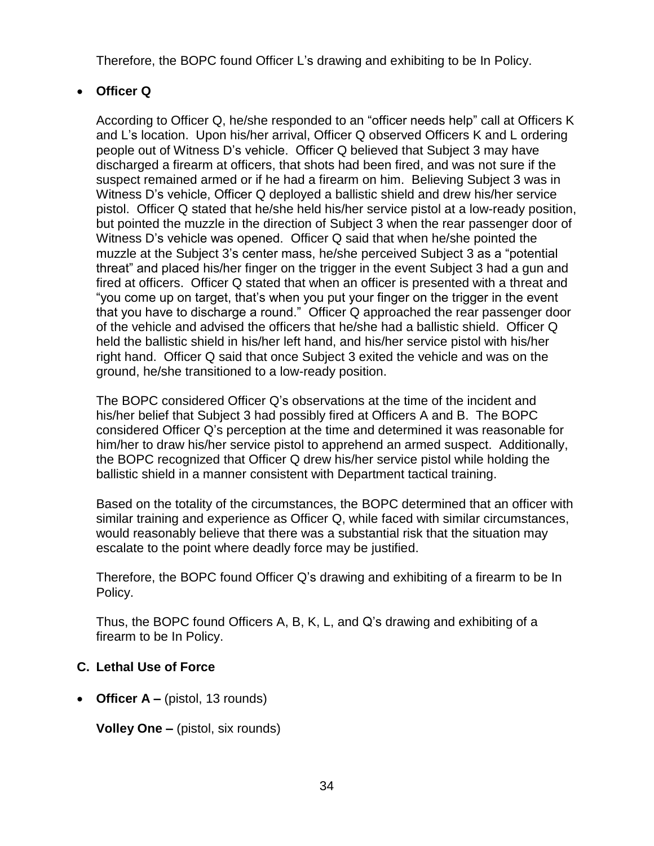Therefore, the BOPC found Officer L's drawing and exhibiting to be In Policy.

## • **Officer Q**

According to Officer Q, he/she responded to an "officer needs help" call at Officers K and L's location. Upon his/her arrival, Officer Q observed Officers K and L ordering people out of Witness D's vehicle. Officer Q believed that Subject 3 may have discharged a firearm at officers, that shots had been fired, and was not sure if the suspect remained armed or if he had a firearm on him. Believing Subject 3 was in Witness D's vehicle, Officer Q deployed a ballistic shield and drew his/her service pistol. Officer Q stated that he/she held his/her service pistol at a low-ready position, but pointed the muzzle in the direction of Subject 3 when the rear passenger door of Witness D's vehicle was opened. Officer Q said that when he/she pointed the muzzle at the Subject 3's center mass, he/she perceived Subject 3 as a "potential threat" and placed his/her finger on the trigger in the event Subject 3 had a gun and fired at officers. Officer Q stated that when an officer is presented with a threat and "you come up on target, that's when you put your finger on the trigger in the event that you have to discharge a round." Officer Q approached the rear passenger door of the vehicle and advised the officers that he/she had a ballistic shield. Officer Q held the ballistic shield in his/her left hand, and his/her service pistol with his/her right hand. Officer Q said that once Subject 3 exited the vehicle and was on the ground, he/she transitioned to a low-ready position.

The BOPC considered Officer Q's observations at the time of the incident and his/her belief that Subject 3 had possibly fired at Officers A and B. The BOPC considered Officer Q's perception at the time and determined it was reasonable for him/her to draw his/her service pistol to apprehend an armed suspect. Additionally, the BOPC recognized that Officer Q drew his/her service pistol while holding the ballistic shield in a manner consistent with Department tactical training.

Based on the totality of the circumstances, the BOPC determined that an officer with similar training and experience as Officer Q, while faced with similar circumstances, would reasonably believe that there was a substantial risk that the situation may escalate to the point where deadly force may be justified.

Therefore, the BOPC found Officer Q's drawing and exhibiting of a firearm to be In Policy.

Thus, the BOPC found Officers A, B, K, L, and Q's drawing and exhibiting of a firearm to be In Policy.

## **C. Lethal Use of Force**

• **Officer A –** (pistol, 13 rounds)

**Volley One –** (pistol, six rounds)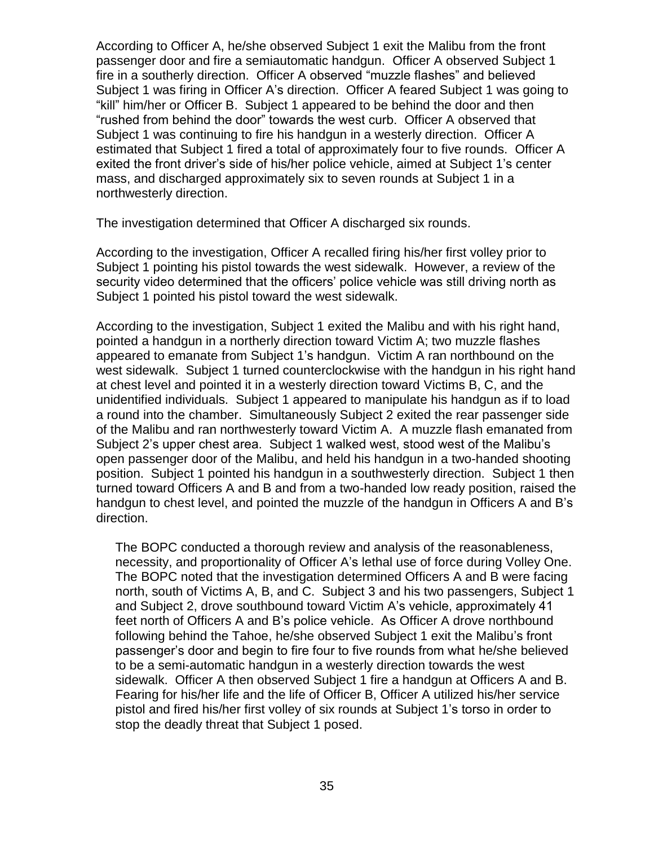According to Officer A, he/she observed Subject 1 exit the Malibu from the front passenger door and fire a semiautomatic handgun. Officer A observed Subject 1 fire in a southerly direction. Officer A observed "muzzle flashes" and believed Subject 1 was firing in Officer A's direction. Officer A feared Subject 1 was going to "kill" him/her or Officer B. Subject 1 appeared to be behind the door and then "rushed from behind the door" towards the west curb. Officer A observed that Subject 1 was continuing to fire his handgun in a westerly direction. Officer A estimated that Subject 1 fired a total of approximately four to five rounds. Officer A exited the front driver's side of his/her police vehicle, aimed at Subject 1's center mass, and discharged approximately six to seven rounds at Subject 1 in a northwesterly direction.

The investigation determined that Officer A discharged six rounds.

According to the investigation, Officer A recalled firing his/her first volley prior to Subject 1 pointing his pistol towards the west sidewalk. However, a review of the security video determined that the officers' police vehicle was still driving north as Subject 1 pointed his pistol toward the west sidewalk.

According to the investigation, Subject 1 exited the Malibu and with his right hand, pointed a handgun in a northerly direction toward Victim A; two muzzle flashes appeared to emanate from Subject 1's handgun. Victim A ran northbound on the west sidewalk. Subject 1 turned counterclockwise with the handgun in his right hand at chest level and pointed it in a westerly direction toward Victims B, C, and the unidentified individuals. Subject 1 appeared to manipulate his handgun as if to load a round into the chamber. Simultaneously Subject 2 exited the rear passenger side of the Malibu and ran northwesterly toward Victim A. A muzzle flash emanated from Subject 2's upper chest area. Subject 1 walked west, stood west of the Malibu's open passenger door of the Malibu, and held his handgun in a two-handed shooting position. Subject 1 pointed his handgun in a southwesterly direction. Subject 1 then turned toward Officers A and B and from a two-handed low ready position, raised the handgun to chest level, and pointed the muzzle of the handgun in Officers A and B's direction.

The BOPC conducted a thorough review and analysis of the reasonableness, necessity, and proportionality of Officer A's lethal use of force during Volley One. The BOPC noted that the investigation determined Officers A and B were facing north, south of Victims A, B, and C. Subject 3 and his two passengers, Subject 1 and Subject 2, drove southbound toward Victim A's vehicle, approximately 41 feet north of Officers A and B's police vehicle. As Officer A drove northbound following behind the Tahoe, he/she observed Subject 1 exit the Malibu's front passenger's door and begin to fire four to five rounds from what he/she believed to be a semi-automatic handgun in a westerly direction towards the west sidewalk. Officer A then observed Subject 1 fire a handgun at Officers A and B. Fearing for his/her life and the life of Officer B, Officer A utilized his/her service pistol and fired his/her first volley of six rounds at Subject 1's torso in order to stop the deadly threat that Subject 1 posed.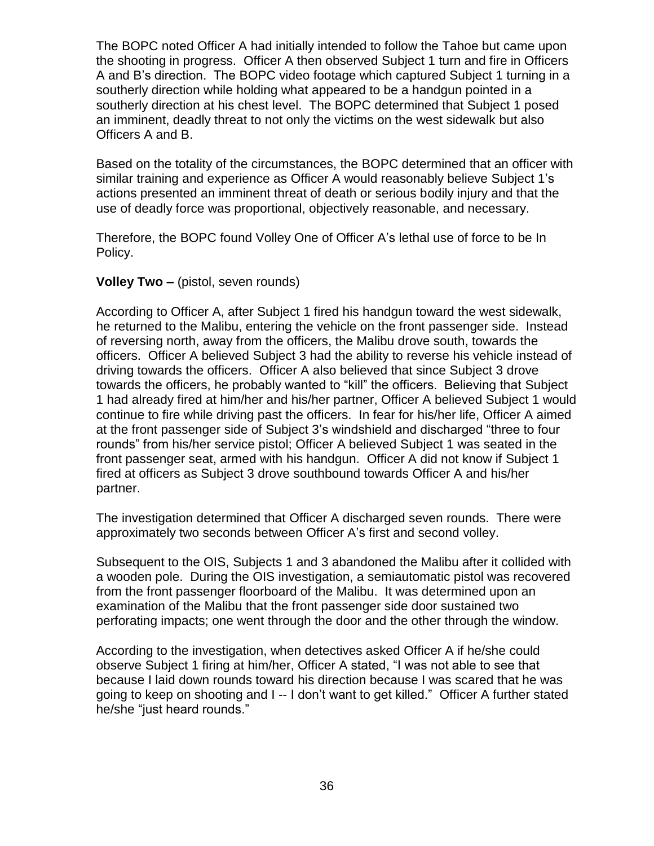The BOPC noted Officer A had initially intended to follow the Tahoe but came upon the shooting in progress. Officer A then observed Subject 1 turn and fire in Officers A and B's direction. The BOPC video footage which captured Subject 1 turning in a southerly direction while holding what appeared to be a handgun pointed in a southerly direction at his chest level. The BOPC determined that Subject 1 posed an imminent, deadly threat to not only the victims on the west sidewalk but also Officers A and B.

Based on the totality of the circumstances, the BOPC determined that an officer with similar training and experience as Officer A would reasonably believe Subject 1's actions presented an imminent threat of death or serious bodily injury and that the use of deadly force was proportional, objectively reasonable, and necessary.

Therefore, the BOPC found Volley One of Officer A's lethal use of force to be In Policy.

#### **Volley Two –** (pistol, seven rounds)

According to Officer A, after Subject 1 fired his handgun toward the west sidewalk, he returned to the Malibu, entering the vehicle on the front passenger side. Instead of reversing north, away from the officers, the Malibu drove south, towards the officers. Officer A believed Subject 3 had the ability to reverse his vehicle instead of driving towards the officers. Officer A also believed that since Subject 3 drove towards the officers, he probably wanted to "kill" the officers. Believing that Subject 1 had already fired at him/her and his/her partner, Officer A believed Subject 1 would continue to fire while driving past the officers. In fear for his/her life, Officer A aimed at the front passenger side of Subject 3's windshield and discharged "three to four rounds" from his/her service pistol; Officer A believed Subject 1 was seated in the front passenger seat, armed with his handgun. Officer A did not know if Subject 1 fired at officers as Subject 3 drove southbound towards Officer A and his/her partner.

The investigation determined that Officer A discharged seven rounds. There were approximately two seconds between Officer A's first and second volley.

Subsequent to the OIS, Subjects 1 and 3 abandoned the Malibu after it collided with a wooden pole. During the OIS investigation, a semiautomatic pistol was recovered from the front passenger floorboard of the Malibu. It was determined upon an examination of the Malibu that the front passenger side door sustained two perforating impacts; one went through the door and the other through the window.

According to the investigation, when detectives asked Officer A if he/she could observe Subject 1 firing at him/her, Officer A stated, "I was not able to see that because I laid down rounds toward his direction because I was scared that he was going to keep on shooting and I -- I don't want to get killed." Officer A further stated he/she "just heard rounds."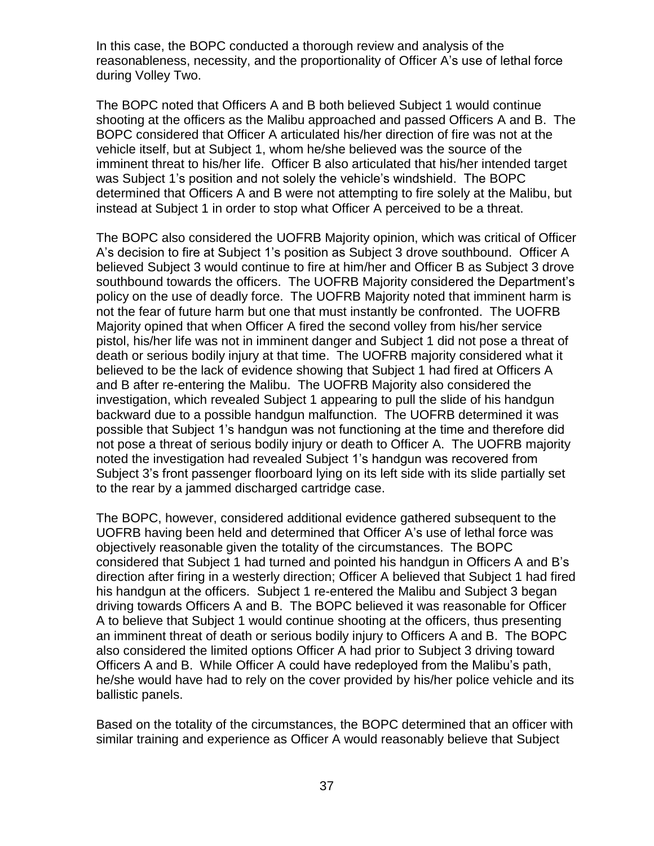In this case, the BOPC conducted a thorough review and analysis of the reasonableness, necessity, and the proportionality of Officer A's use of lethal force during Volley Two.

The BOPC noted that Officers A and B both believed Subject 1 would continue shooting at the officers as the Malibu approached and passed Officers A and B. The BOPC considered that Officer A articulated his/her direction of fire was not at the vehicle itself, but at Subject 1, whom he/she believed was the source of the imminent threat to his/her life. Officer B also articulated that his/her intended target was Subject 1's position and not solely the vehicle's windshield. The BOPC determined that Officers A and B were not attempting to fire solely at the Malibu, but instead at Subject 1 in order to stop what Officer A perceived to be a threat.

The BOPC also considered the UOFRB Majority opinion, which was critical of Officer A's decision to fire at Subject 1's position as Subject 3 drove southbound. Officer A believed Subject 3 would continue to fire at him/her and Officer B as Subject 3 drove southbound towards the officers. The UOFRB Majority considered the Department's policy on the use of deadly force. The UOFRB Majority noted that imminent harm is not the fear of future harm but one that must instantly be confronted. The UOFRB Majority opined that when Officer A fired the second volley from his/her service pistol, his/her life was not in imminent danger and Subject 1 did not pose a threat of death or serious bodily injury at that time. The UOFRB majority considered what it believed to be the lack of evidence showing that Subject 1 had fired at Officers A and B after re-entering the Malibu. The UOFRB Majority also considered the investigation, which revealed Subject 1 appearing to pull the slide of his handgun backward due to a possible handgun malfunction. The UOFRB determined it was possible that Subject 1's handgun was not functioning at the time and therefore did not pose a threat of serious bodily injury or death to Officer A. The UOFRB majority noted the investigation had revealed Subject 1's handgun was recovered from Subject 3's front passenger floorboard lying on its left side with its slide partially set to the rear by a jammed discharged cartridge case.

The BOPC, however, considered additional evidence gathered subsequent to the UOFRB having been held and determined that Officer A's use of lethal force was objectively reasonable given the totality of the circumstances. The BOPC considered that Subject 1 had turned and pointed his handgun in Officers A and B's direction after firing in a westerly direction; Officer A believed that Subject 1 had fired his handgun at the officers. Subject 1 re-entered the Malibu and Subject 3 began driving towards Officers A and B. The BOPC believed it was reasonable for Officer A to believe that Subject 1 would continue shooting at the officers, thus presenting an imminent threat of death or serious bodily injury to Officers A and B. The BOPC also considered the limited options Officer A had prior to Subject 3 driving toward Officers A and B. While Officer A could have redeployed from the Malibu's path, he/she would have had to rely on the cover provided by his/her police vehicle and its ballistic panels.

Based on the totality of the circumstances, the BOPC determined that an officer with similar training and experience as Officer A would reasonably believe that Subject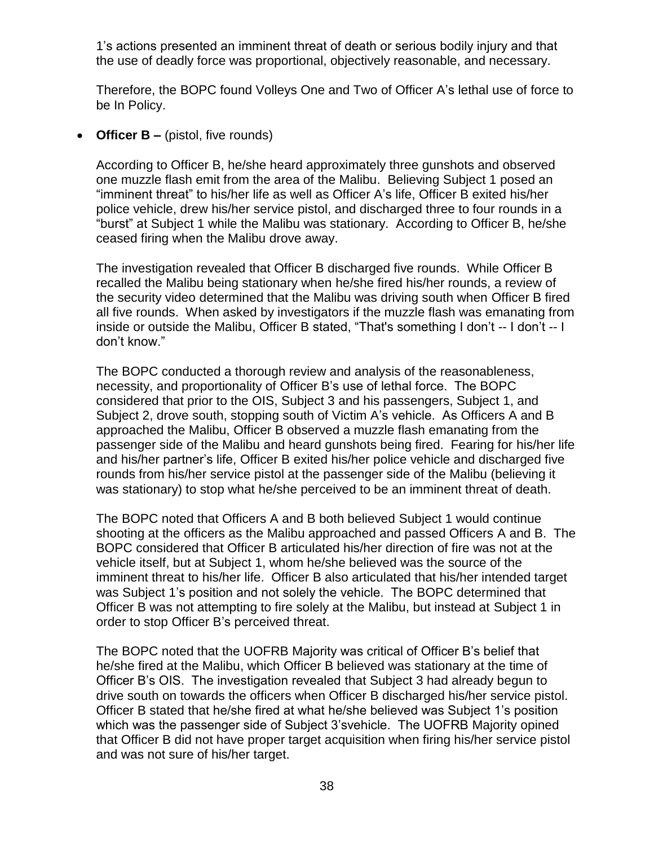1's actions presented an imminent threat of death or serious bodily injury and that the use of deadly force was proportional, objectively reasonable, and necessary.

Therefore, the BOPC found Volleys One and Two of Officer A's lethal use of force to be In Policy.

• **Officer B** – (pistol, five rounds)

According to Officer B, he/she heard approximately three gunshots and observed one muzzle flash emit from the area of the Malibu. Believing Subject 1 posed an "imminent threat" to his/her life as well as Officer A's life, Officer B exited his/her police vehicle, drew his/her service pistol, and discharged three to four rounds in a "burst" at Subject 1 while the Malibu was stationary. According to Officer B, he/she ceased firing when the Malibu drove away.

The investigation revealed that Officer B discharged five rounds. While Officer B recalled the Malibu being stationary when he/she fired his/her rounds, a review of the security video determined that the Malibu was driving south when Officer B fired all five rounds. When asked by investigators if the muzzle flash was emanating from inside or outside the Malibu, Officer B stated, "That's something I don't -- I don't -- I don't know."

The BOPC conducted a thorough review and analysis of the reasonableness, necessity, and proportionality of Officer B's use of lethal force. The BOPC considered that prior to the OIS, Subject 3 and his passengers, Subject 1, and Subject 2, drove south, stopping south of Victim A's vehicle. As Officers A and B approached the Malibu, Officer B observed a muzzle flash emanating from the passenger side of the Malibu and heard gunshots being fired. Fearing for his/her life and his/her partner's life, Officer B exited his/her police vehicle and discharged five rounds from his/her service pistol at the passenger side of the Malibu (believing it was stationary) to stop what he/she perceived to be an imminent threat of death.

The BOPC noted that Officers A and B both believed Subject 1 would continue shooting at the officers as the Malibu approached and passed Officers A and B. The BOPC considered that Officer B articulated his/her direction of fire was not at the vehicle itself, but at Subject 1, whom he/she believed was the source of the imminent threat to his/her life. Officer B also articulated that his/her intended target was Subject 1's position and not solely the vehicle. The BOPC determined that Officer B was not attempting to fire solely at the Malibu, but instead at Subject 1 in order to stop Officer B's perceived threat.

The BOPC noted that the UOFRB Majority was critical of Officer B's belief that he/she fired at the Malibu, which Officer B believed was stationary at the time of Officer B's OIS. The investigation revealed that Subject 3 had already begun to drive south on towards the officers when Officer B discharged his/her service pistol. Officer B stated that he/she fired at what he/she believed was Subject 1's position which was the passenger side of Subject 3'svehicle. The UOFRB Majority opined that Officer B did not have proper target acquisition when firing his/her service pistol and was not sure of his/her target.